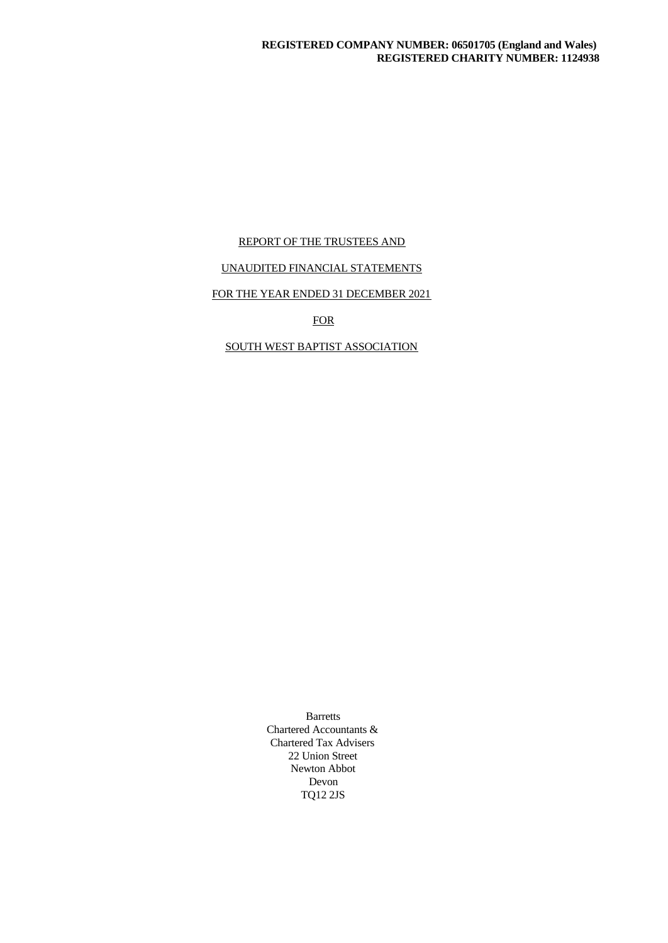# REPORT OF THE TRUSTEES AND

# UNAUDITED FINANCIAL STATEMENTS

# FOR THE YEAR ENDED 31 DECEMBER 2021

**FOR** 

# SOUTH WEST BAPTIST ASSOCIATION

Barretts Chartered Accountants & Chartered Tax Advisers 22 Union Street Newton Abbot Devon TQ12 2JS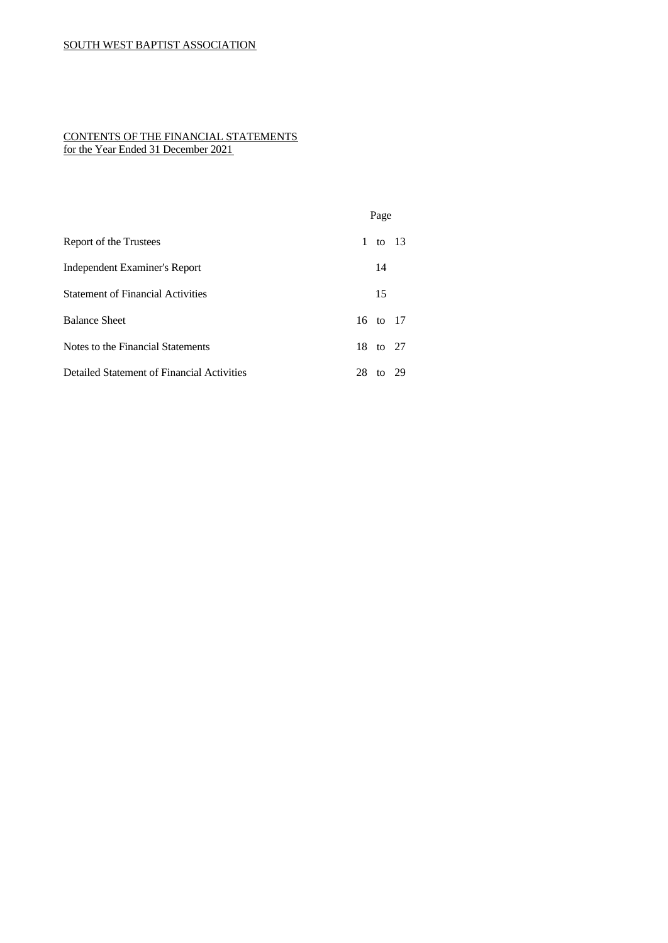# CONTENTS OF THE FINANCIAL STATEMENTS for the Year Ended 31 December 2021

|                                            | Page          |
|--------------------------------------------|---------------|
| Report of the Trustees                     | 1 to 13       |
| Independent Examiner's Report              | 14            |
| <b>Statement of Financial Activities</b>   | 15            |
| <b>Balance Sheet</b>                       | 16 to 17      |
| Notes to the Financial Statements          | 18 to 27      |
| Detailed Statement of Financial Activities | 28<br>to $29$ |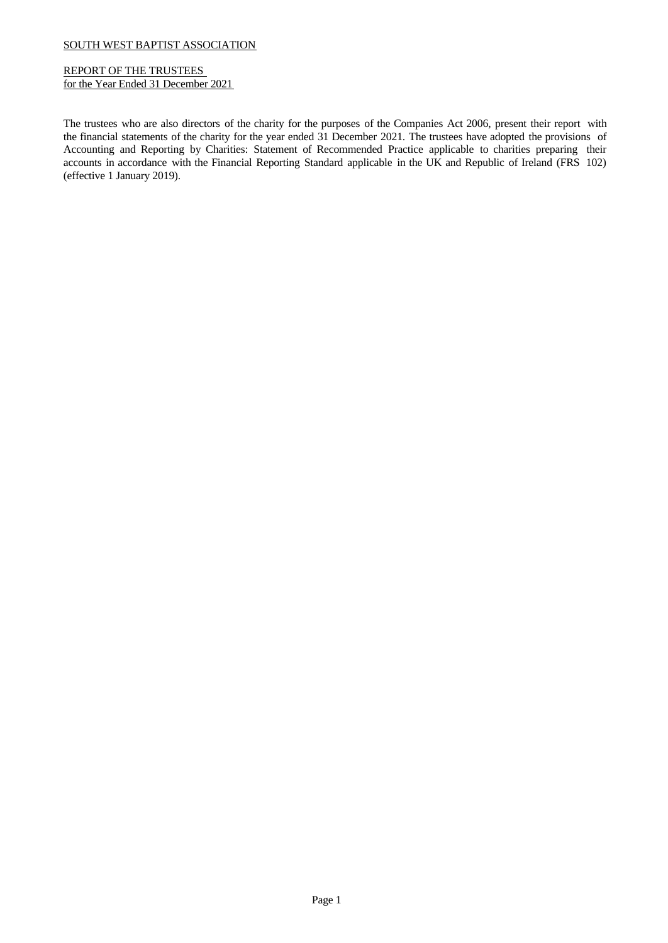# REPORT OF THE TRUSTEES for the Year Ended 31 December 2021

The trustees who are also directors of the charity for the purposes of the Companies Act 2006, present their report with the financial statements of the charity for the year ended 31 December 2021. The trustees have adopted the provisions of Accounting and Reporting by Charities: Statement of Recommended Practice applicable to charities preparing their accounts in accordance with the Financial Reporting Standard applicable in the UK and Republic of Ireland (FRS 102) (effective 1 January 2019).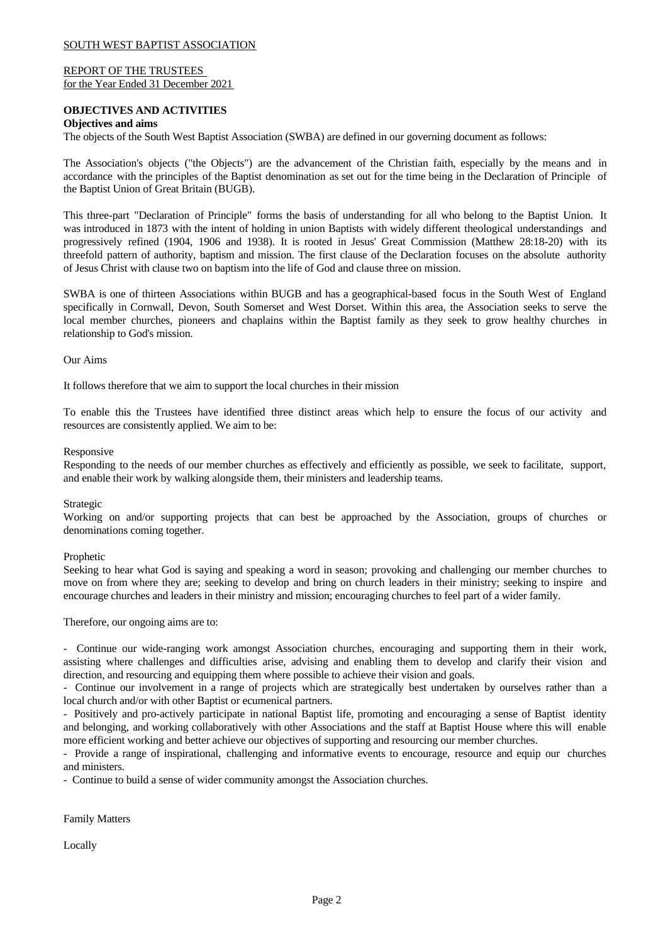### REPORT OF THE TRUSTEES for the Year Ended 31 December 2021

# **OBJECTIVES AND ACTIVITIES**

# **Objectives and aims**

The objects of the South West Baptist Association (SWBA) are defined in our governing document as follows:

The Association's objects ("the Objects") are the advancement of the Christian faith, especially by the means and in accordance with the principles of the Baptist denomination as set out for the time being in the Declaration of Principle of the Baptist Union of Great Britain (BUGB).

This three-part "Declaration of Principle" forms the basis of understanding for all who belong to the Baptist Union. It was introduced in 1873 with the intent of holding in union Baptists with widely different theological understandings and progressively refined (1904, 1906 and 1938). It is rooted in Jesus' Great Commission (Matthew 28:18-20) with its threefold pattern of authority, baptism and mission. The first clause of the Declaration focuses on the absolute authority of Jesus Christ with clause two on baptism into the life of God and clause three on mission.

SWBA is one of thirteen Associations within BUGB and has a geographical-based focus in the South West of England specifically in Cornwall, Devon, South Somerset and West Dorset. Within this area, the Association seeks to serve the local member churches, pioneers and chaplains within the Baptist family as they seek to grow healthy churches in relationship to God's mission.

### Our Aims

It follows therefore that we aim to support the local churches in their mission

To enable this the Trustees have identified three distinct areas which help to ensure the focus of our activity and resources are consistently applied. We aim to be:

### Responsive

Responding to the needs of our member churches as effectively and efficiently as possible, we seek to facilitate, support, and enable their work by walking alongside them, their ministers and leadership teams.

### Strategic

Working on and/or supporting projects that can best be approached by the Association, groups of churches or denominations coming together.

### Prophetic

Seeking to hear what God is saying and speaking a word in season; provoking and challenging our member churches to move on from where they are; seeking to develop and bring on church leaders in their ministry; seeking to inspire and encourage churches and leaders in their ministry and mission; encouraging churches to feel part of a wider family.

Therefore, our ongoing aims are to:

- Continue our wide-ranging work amongst Association churches, encouraging and supporting them in their work, assisting where challenges and difficulties arise, advising and enabling them to develop and clarify their vision and direction, and resourcing and equipping them where possible to achieve their vision and goals.

- Continue our involvement in a range of projects which are strategically best undertaken by ourselves rather than a local church and/or with other Baptist or ecumenical partners.

- Positively and pro-actively participate in national Baptist life, promoting and encouraging a sense of Baptist identity and belonging, and working collaboratively with other Associations and the staff at Baptist House where this will enable more efficient working and better achieve our objectives of supporting and resourcing our member churches.

- Provide a range of inspirational, challenging and informative events to encourage, resource and equip our churches and ministers.

- Continue to build a sense of wider community amongst the Association churches.

Family Matters

Locally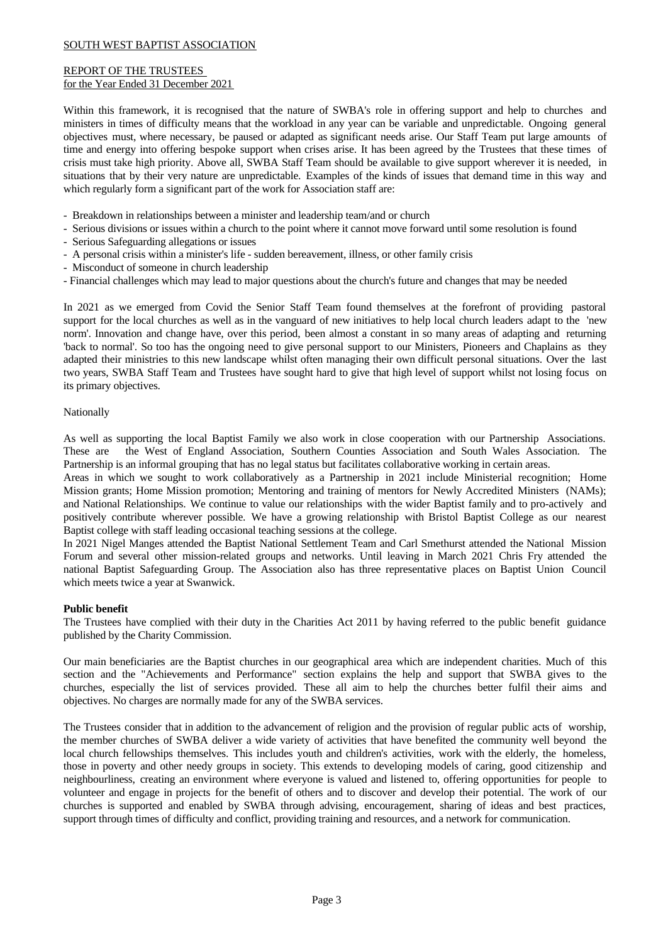# REPORT OF THE TRUSTEES for the Year Ended 31 December 2021

Within this framework, it is recognised that the nature of SWBA's role in offering support and help to churches and ministers in times of difficulty means that the workload in any year can be variable and unpredictable. Ongoing general objectives must,where necessary, be paused or adapted as significant needs arise. Our Staff Team put large amounts of time and energy into offering bespoke support when crises arise. It has been agreed by the Trustees that these times of crisis must take high priority. Above all, SWBA Staff Team should be available to give support wherever it is needed, in situations that by their very nature are unpredictable. Examples of the kinds of issues that demand time in this way and which regularly form a significant part of the work for Association staff are:

- Breakdown in relationships between a minister and leadership team/and or church
- Serious divisions or issues within a church to the point where it cannot move forward until some resolution is found
- Serious Safeguarding allegations or issues
- A personal crisis within a minister's life sudden bereavement, illness, or other family crisis
- Misconduct of someone in church leadership
- Financial challenges which may lead to major questions about the church's future and changes that may be needed

In 2021 as we emerged from Covid the Senior Staff Team found themselves at the forefront of providing pastoral support for the local churches as well as in the vanguard of new initiatives to help local church leaders adapt to the 'new norm'. Innovation and change have, over this period, been almost a constant in so many areas of adapting and returning 'back to normal'. So too has the ongoing need to give personal support to our Ministers, Pioneers and Chaplains as they adapted their ministries to this new landscape whilst often managing their own difficult personal situations. Over the last two years, SWBA Staff Team and Trustees have sought hard to give that high level of support whilst not losing focus on its primary objectives.

# Nationally

As wellas supporting the local Baptist Family we also work in close cooperation with our Partnership Associations. These are the West of England Association, Southern Counties Association and South Wales Association. The Partnership is an informal grouping that has no legal status but facilitates collaborative working in certain areas.

Areas in which we sought to work collaboratively as a Partnership in 2021 include Ministerial recognition; Home Mission grants; Home Mission promotion; Mentoring and training of mentors for Newly Accredited Ministers (NAMs); and National Relationships. We continue to value our relationships with the wider Baptist family and to pro-actively and positively contribute wherever possible. We have a growing relationship with Bristol Baptist College as our nearest Baptist college with staff leading occasional teaching sessions at the college.

In 2021 Nigel Manges attended the Baptist National Settlement Team and Carl Smethurst attended the National Mission Forum and several other mission-related groups and networks. Until leaving in March 2021 Chris Fry attended the national Baptist Safeguarding Group. The Association also has three representative places on Baptist Union Council which meets twice a year at Swanwick.

# **Public benefit**

The Trustees have complied with their duty in the Charities Act 2011 by having referred to the public benefit guidance published by the Charity Commission.

Our main beneficiaries are the Baptist churches in our geographical area which are independent charities. Much of this section and the "Achievements and Performance" section explains the help and support that SWBA gives to the churches, especially the list of services provided. These all aim to help the churches better fulfil their aims and objectives. No charges are normally made for any of the SWBA services.

The Trustees consider that in addition to the advancement of religion and the provision of regular public acts of worship, the member churches of SWBA deliver a wide variety of activities that have benefited the community well beyond the local church fellowships themselves. This includes youth and children's activities, work with the elderly, the homeless, those in poverty and other needy groups in society. This extends to developing models of caring, good citizenship and neighbourliness, creating an environment where everyone is valued and listened to, offering opportunities for people to volunteer and engage in projects for the benefit of others and to discover and develop their potential. The work of our churches is supported and enabled by SWBA through advising, encouragement, sharing of ideas and best practices, support through times of difficulty and conflict, providing training and resources, and a network for communication.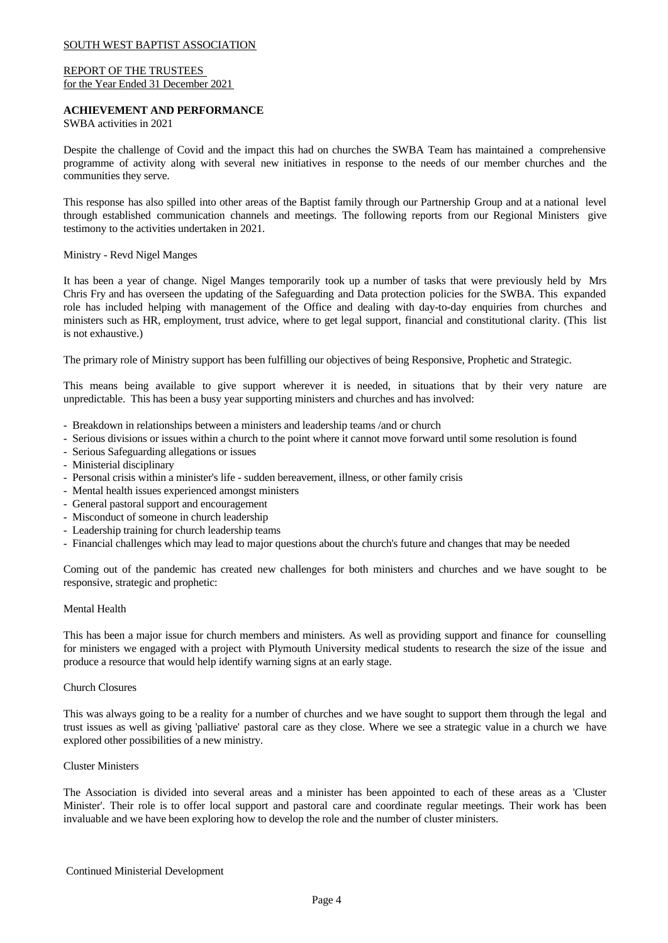# REPORT OF THE TRUSTEES for the Year Ended 31 December 2021

## **ACHIEVEMENT AND PERFORMANCE**

SWBA activities in 2021

Despite the challenge of Covid and the impact this had on churches the SWBA Team has maintained a comprehensive programme of activity along with several new initiatives in response to the needs of our member churches and the communities they serve.

This response has also spilled into other areas of the Baptist family through our Partnership Group and at a national level through established communication channels and meetings. The following reports from our Regional Ministers give testimony to the activities undertaken in 2021.

### Ministry - Revd Nigel Manges

It has been a year of change. Nigel Manges temporarily took up a number of tasks that were previously held by Mrs Chris Fry and has overseen the updating of the Safeguarding and Data protection policies for the SWBA. This expanded role has included helping with management of the Office and dealing with day-to-day enquiries from churches and ministers such as HR, employment, trust advice, where to get legal support, financial and constitutional clarity. (This list is not exhaustive.)

The primary role of Ministry support has been fulfilling our objectives of being Responsive, Prophetic and Strategic.

This means being available to give support wherever it is needed, in situations that by their very nature are unpredictable. This has been a busy year supporting ministers and churches and has involved:

- Breakdown in relationships between a ministers and leadership teams /and or church
- Serious divisions or issues within a church to the point where it cannot move forward until some resolution is found
- Serious Safeguarding allegations or issues
- Ministerial disciplinary
- Personal crisis within a minister's life sudden bereavement, illness, or other family crisis
- Mental health issues experienced amongst ministers
- General pastoral support and encouragement
- Misconduct of someone in church leadership
- Leadership training for church leadership teams
- Financial challenges which may lead to major questions about the church's future and changes that may be needed

Coming out of the pandemic has created new challenges for both ministers and churches and we have sought to be responsive, strategic and prophetic:

### Mental Health

This has been a major issue for church members and ministers. As well as providing support and finance for counselling for ministers we engaged with a project with Plymouth University medical students to research the size of the issue and produce a resource that would help identify warning signs at an early stage.

### Church Closures

This was always going to be a reality for a number of churches and we have sought to support them through the legal and trust issues as well as giving 'palliative' pastoral care as they close. Where we see a strategic value in a church we have explored other possibilities of a new ministry.

### Cluster Ministers

The Association is divided into several areas and a minister has been appointed to each of these areas as a 'Cluster Minister'. Their role is to offer local support and pastoral care and coordinate regular meetings. Their work has been invaluable and we have been exploring how to develop the role and the number of cluster ministers.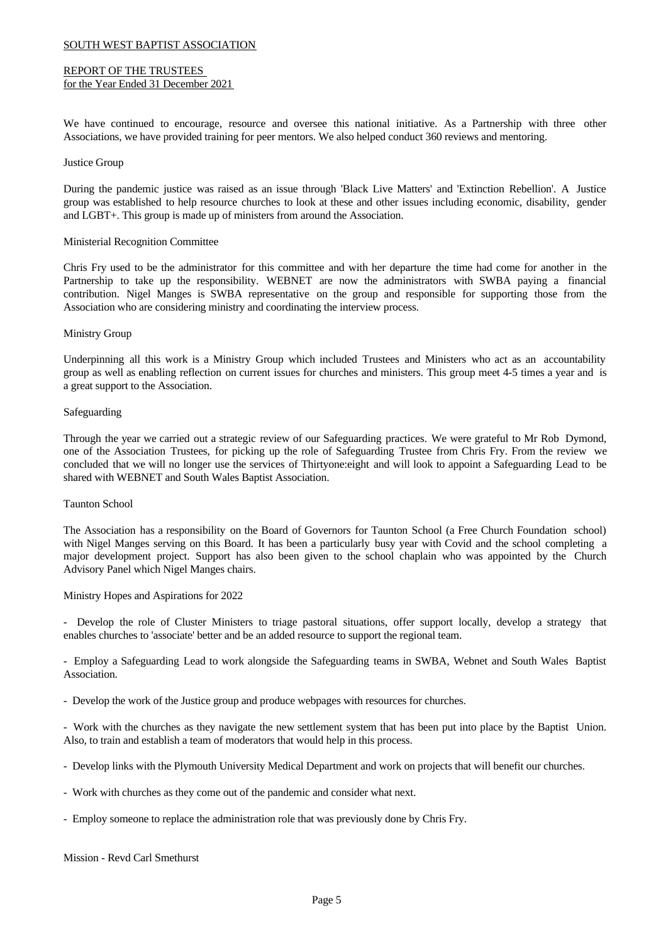### REPORT OF THE TRUSTEES for the Year Ended 31 December 2021

We have continued to encourage, resource and oversee this national initiative. As a Partnership with three other Associations, we have provided training for peer mentors. We also helped conduct 360 reviews and mentoring.

### Justice Group

During the pandemic justice was raised as an issue through 'Black Live Matters' and 'Extinction Rebellion'. A Justice group was established to help resource churches to look at these and other issues including economic, disability, gender and LGBT+. This group is made up of ministers from around the Association.

### Ministerial Recognition Committee

Chris Fry used to be the administrator for this committee and with her departure the time had come for another in the Partnership to take up the responsibility. WEBNET are now the administrators with SWBA paying a financial contribution. Nigel Manges is SWBA representative on the group and responsible for supporting those from the Association who are considering ministry and coordinating the interview process.

### Ministry Group

Underpinning all this work is a Ministry Group which included Trustees and Ministers who act as an accountability group as well as enabling reflection on current issues for churches and ministers. This group meet 4-5 times a year and is a great support to the Association.

### Safeguarding

Through the year we carried out a strategic review of our Safeguarding practices. We were grateful to Mr Rob Dymond, one of the Association Trustees, for picking up the role of Safeguarding Trustee from Chris Fry. From the review we concluded that we will no longer use the services of Thirtyone:eight and will look to appoint a Safeguarding Lead to be shared with WEBNET and South Wales Baptist Association.

### Taunton School

The Association has a responsibility on the Board of Governors for Taunton School (a Free Church Foundation school) with Nigel Manges serving on this Board. It has been a particularly busy year with Covid and the school completing a major development project. Support has also been given to the school chaplain who was appointed by the Church Advisory Panel which Nigel Manges chairs.

Ministry Hopes and Aspirations for 2022

- Develop the role of Cluster Ministers to triage pastoral situations, offer support locally, develop a strategy that enables churches to 'associate' better and be an added resource to support the regional team.

- Employ a Safeguarding Lead to work alongside the Safeguarding teams in SWBA, Webnet and South Wales Baptist Association.

- Develop the work of the Justice group and produce webpages with resources for churches.

- Work with the churches as they navigate the new settlement system that has been put into place by the Baptist Union. Also, to train and establish a team of moderators that would help in this process.

- Develop links with the Plymouth University Medical Department and work on projects that will benefit our churches.
- Work with churches as they come out of the pandemic and consider what next.
- Employ someone to replace the administration role that was previously done by Chris Fry.

Mission - Revd Carl Smethurst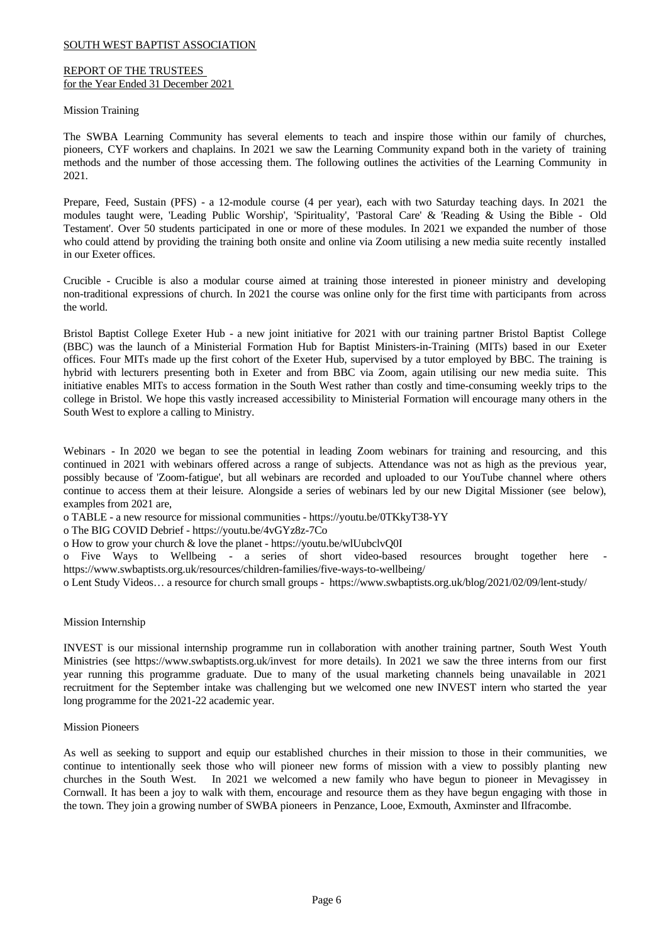## REPORT OF THE TRUSTEES for the Year Ended 31 December 2021

### Mission Training

The SWBA Learning Community has several elements to teach and inspire those within our family of churches, pioneers, CYF workers and chaplains. In 2021 we saw the Learning Community expand both in the variety of training methods and the number of those accessing them. The following outlines the activities of the Learning Community in 2021.

Prepare, Feed, Sustain (PFS) - a 12-module course (4 per year), each with two Saturday teaching days. In 2021 the modules taught were, 'Leading Public Worship', 'Spirituality', 'Pastoral Care' & 'Reading & Using the Bible - Old Testament'. Over 50 students participated in one or more of these modules. In 2021 we expanded the number of those who could attend by providing the training both onsite and online via Zoom utilising a new media suite recently installed in our Exeter offices.

Crucible - Crucible is also a modular course aimed at training those interested in pioneer ministry and developing non-traditional expressions of church. In 2021 the course was online only for the first time with participants from across the world.

Bristol Baptist College Exeter Hub - a new joint initiative for 2021 with our training partner Bristol Baptist College (BBC) was the launch of a Ministerial Formation Hub for Baptist Ministers-in-Training (MITs) based in our Exeter offices. Four MITs made up the first cohort of the Exeter Hub, supervised by a tutoremployed by BBC. The training is hybrid with lecturers presenting both in Exeter and from BBC via Zoom, again utilising our new media suite. This initiative enables MITs to access formation in the South West rather than costly and time-consuming weekly trips to the college in Bristol. We hope this vastly increased accessibility to Ministerial Formation will encourage many others in the South West to explore a calling to Ministry.

Webinars - In 2020 we began to see the potential in leading Zoom webinars for training and resourcing, and this continued in 2021 with webinars offered across a range of subjects. Attendance was not as high as the previous year, possibly because of 'Zoom-fatigue', but all webinars are recorded and uploaded to our YouTube channel where others continue to access them at their leisure. Alongside a series of webinars led by our new Digital Missioner (see below), examples from 2021 are,

o TABLE - a new resource for missional communities - https://youtu.be/0TKkyT38-YY

o The BIG COVID Debrief - https://youtu.be/4vGYz8z-7Co

o How to grow your church & love the planet - https://youtu.be/wlUubclvQ0I

o Five Ways to Wellbeing - a series of short video-based resources brought together here https://www.swbaptists.org.uk/resources/children-families/five-ways-to-wellbeing/

o Lent Study Videos… a resource for church small groups - https://www.swbaptists.org.uk/blog/2021/02/09/lent-study/

### Mission Internship

INVEST is our missional internship programme run in collaboration with another training partner, South West Youth Ministries (see https://www.swbaptists.org.uk/invest for more details). In 2021 we saw the three interns from our first year running this programme graduate. Due to many of the usual marketing channels being unavailable in 2021 recruitment for the September intake was challenging but we welcomed one new INVEST intern who started the year long programme for the 2021-22 academic year.

### Mission Pioneers

As wellas seeking to support and equip our established churches in their mission to those in their communities, we continue to intentionally seek those who will pioneer new forms of mission with a view to possibly planting new churches in the South West. In 2021 we welcomed a new family who have begun to pioneer in Mevagissey in Cornwall. It has been a joy to walk with them, encourage and resource them as they have begun engaging with those in the town. They join a growing number of SWBA pioneers in Penzance, Looe, Exmouth, Axminster and Ilfracombe.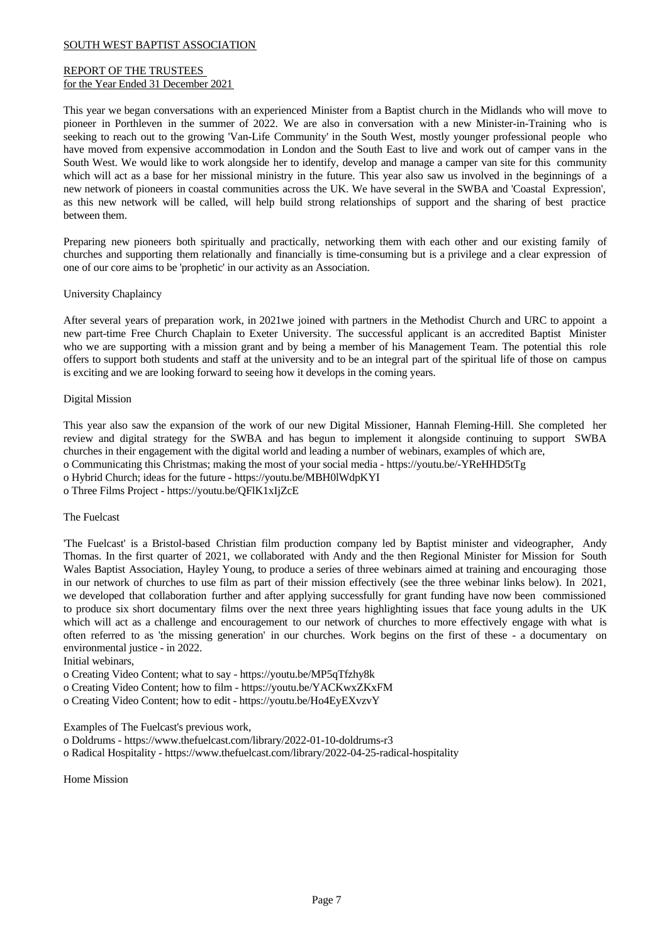# REPORT OF THE TRUSTEES for the Year Ended 31 December 2021

This year we began conversations with an experienced Minister from a Baptist church in the Midlands who will move to pioneer in Porthleven in the summer of 2022. We are also in conversation with a new Minister-in-Training who is seeking to reach out to the growing 'Van-Life Community' in the South West, mostly younger professional people who have moved from expensive accommodation in London and the South East to live and work out of camper vans in the South West. We would like to work alongside her to identify, develop and manage a camper van site for this community which will act as a base for her missional ministry in the future. This year also saw us involved in the beginnings of a new network of pioneers in coastal communities across the UK. We have several in the SWBA and 'Coastal Expression', as this new network will be called, will help build strong relationships of support and the sharing of best practice between them.

Preparing new pioneers both spiritually and practically, networking them with each other and our existing family of churches and supporting them relationally and financially is time-consuming but is a privilege and a clear expression of one of our core aims to be 'prophetic' in our activity as an Association.

# University Chaplaincy

After several years of preparation work, in 2021we joined with partners in the Methodist Church and URC to appoint a new part-time Free Church Chaplain to Exeter University. The successful applicant is an accredited Baptist Minister who we are supporting with a mission grant and by being a member of his Management Team. The potential this role offers to support both students and staff atthe university and to be an integral part of the spiritual life of those on campus is exciting and we are looking forward to seeing how it develops in the coming years.

### Digital Mission

This year also saw the expansion of the work of our new Digital Missioner, Hannah Fleming-Hill. She completed her review and digital strategy for the SWBA and has begun to implement it alongside continuing to support SWBA churches in their engagement with the digital world and leading a number of webinars, examples of which are, o Communicating this Christmas; making the most of your social media - https://youtu.be/-YReHHD5tTg o Hybrid Church; ideas for the future - https://youtu.be/MBH0lWdpKYI o Three Films Project - https://youtu.be/QFlK1xIjZcE

# The Fuelcast

'The Fuelcast' is a Bristol-based Christian film production company led by Baptist minister and videographer, Andy Thomas. In the first quarter of 2021, we collaborated with Andy and the then Regional Minister for Mission for South Wales Baptist Association, Hayley Young, to produce a series of three webinars aimed at training and encouraging those in our network of churches to use film as part of their mission effectively (see the three webinar links below). In 2021, we developed that collaboration further and after applying successfully for grant funding have now been commissioned to produce six short documentary films over the next three years highlighting issues that face young adults in the UK which will act as a challenge and encouragement to our network of churches to more effectively engage with what is often referred to as 'the missing generation' in our churches. Work begins on the first of these - a documentary on environmental justice - in 2022.

# Initial webinars,

o Creating Video Content; what to say - https://youtu.be/MP5qTfzhy8k o Creating Video Content; how to film - https://youtu.be/YACKwxZKxFM

o Creating Video Content; how to edit - https://youtu.be/Ho4EyEXvzvY

Examples of The Fuelcast's previous work,

o Doldrums - https://www.thefuelcast.com/library/2022-01-10-doldrums-r3

o Radical Hospitality - https://www.thefuelcast.com/library/2022-04-25-radical-hospitality

Home Mission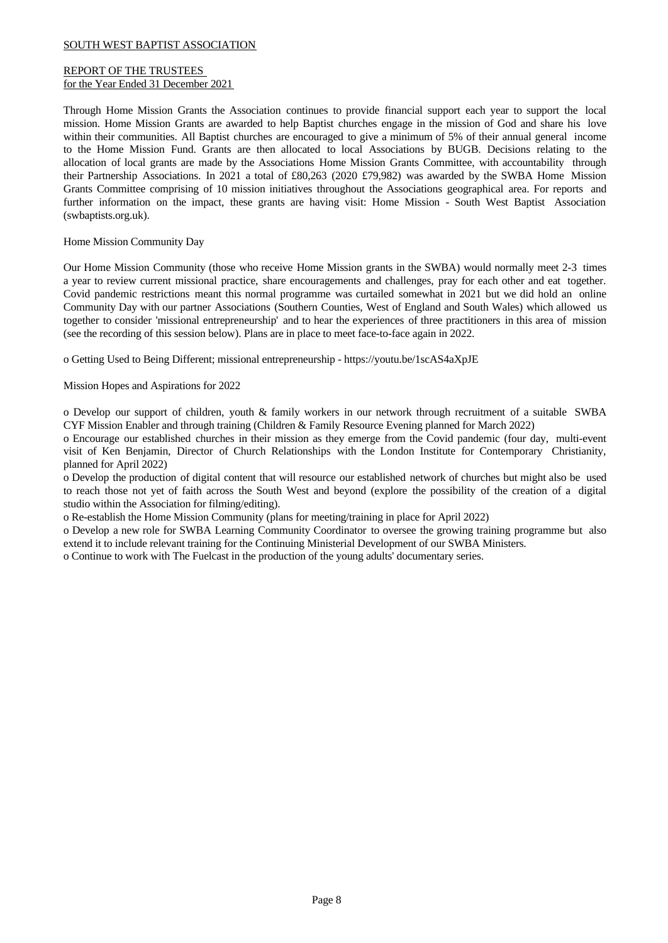# REPORT OF THE TRUSTEES for the Year Ended 31 December 2021

Through Home Mission Grants the Association continues to provide financial support each year to support the local mission. Home Mission Grants are awarded to help Baptist churches engage in the mission of God and share his love within their communities. All Baptist churches are encouraged to give a minimum of 5% of their annual general income to the Home Mission Fund. Grants are then allocated to local Associations by BUGB. Decisions relating to the allocation of local grants are made by the Associations Home Mission Grants Committee, with accountability through their Partnership Associations. In 2021 a total of £80,263 (2020 £79,982) was awarded by the SWBA Home Mission Grants Committee comprising of 10 mission initiatives throughout the Associations geographical area. For reports and further information on the impact, these grants are having visit: Home Mission - South West Baptist Association (swbaptists.org.uk).

# Home Mission Community Day

Our Home Mission Community (those who receive Home Mission grants in the SWBA) would normally meet 2-3 times a year to review current missional practice, share encouragements and challenges, pray for each other and eat together. Covid pandemic restrictions meant this normal programme was curtailed somewhat in 2021 but we did hold an online Community Day with our partner Associations (Southern Counties, West of England and South Wales) which allowed us together to consider 'missional entrepreneurship' and to hear the experiences of three practitioners in this area of mission (see the recording of this session below). Plans are in place to meet face-to-face again in 2022.

o Getting Used to Being Different; missional entrepreneurship - https://youtu.be/1scAS4aXpJE

Mission Hopes and Aspirations for 2022

o Develop our support of children, youth & family workers in our network through recruitment of a suitable SWBA CYF Mission Enabler and through training (Children & Family Resource Evening planned for March 2022)

o Encourage our established churches in their mission as they emerge from the Covid pandemic (four day, multi-event visit of Ken Benjamin, Director of Church Relationships with the London Institute for Contemporary Christianity, planned for April 2022)

o Develop the production of digital content that will resource our established network of churches but might also be used to reach those not yet of faith across the South West and beyond (explore the possibility of the creation of a digital studio within the Association for filming/editing).

o Re-establish the Home Mission Community (plans for meeting/training in place for April 2022)

o Develop a new role for SWBA Learning Community Coordinator to oversee the growing training programme but also extend it to include relevant training for the Continuing Ministerial Development of our SWBA Ministers.

o Continue to work with The Fuelcast in the production of the young adults' documentary series.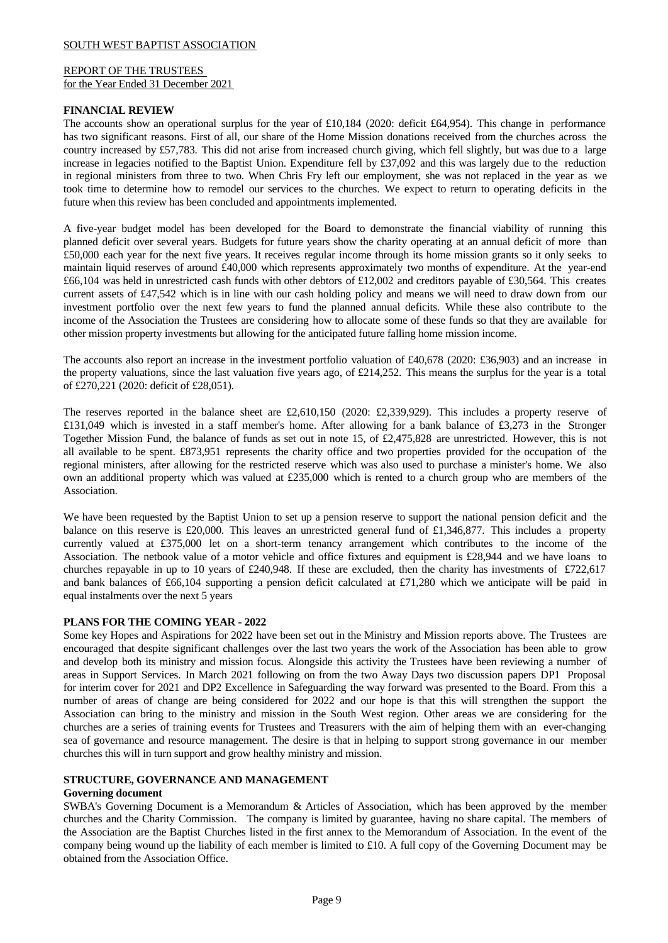### REPORT OF THE TRUSTEES for the Year Ended 31 December 2021

### **FINANCIAL REVIEW**

The accounts show an operational surplus for the yearof £10,184 (2020: deficit £64,954). This change in performance has two significant reasons. First of all, our share of the Home Mission donations received from the churches across the country increased by £57,783. This did not arise from increased church giving,which fell slightly, but was due to a large increase in legacies notified to the Baptist Union. Expenditure fell by  $£37,092$  and this was largely due to the reduction in regional ministers from three to two. When Chris Fry left our employment, she was not replaced in the year as we took time to determine how to remodel our services to the churches. We expect to return to operating deficits in the future when this review has been concluded and appointments implemented.

A five-year budget model has been developed for the Board to demonstrate the financial viability of running this planned deficit over several years. Budgets for future years show the charity operating at an annual deficit of more than £50,000 each year for the next five years. It receives regular income through its home mission grants so it only seeks to maintain liquid reserves of around £40,000 which represents approximately two months of expenditure. At the year-end £66,104 was held in unrestricted cash funds with other debtors of £12,002 and creditors payable of £30,564. This creates current assets of £47,542 which is in line with our cash holding policy and means we will need to draw down from our investment portfolio over the next few years to fund the planned annual deficits. While these also contribute to the income of the Association the Trustees are considering how to allocate some of these funds so that they are available for other mission property investments but allowing for the anticipated future falling home mission income.

The accounts also report an increase in the investment portfolio valuation of £40,678 (2020: £36,903) and an increase in the property valuations, since the lastvaluation five years ago, of £214,252. This means the surplus for the year is a total of £270,221 (2020: deficit of £28,051).

The reserves reported in the balance sheet are £2,610,150 (2020: £2,339,929). This includes a property reserve of £131,049 which is invested in a staff member's home. After allowing for a bank balance of £3,273 in the Stronger Together Mission Fund, the balance of funds as set out in note 15, of £2,475,828 are unrestricted. However, this is not all available to be spent. £873,951 represents the charity office and two properties provided for the occupation of the regional ministers, after allowing for the restricted reserve which was also used to purchase a minister's home. We also own an additional property which was valued at  $£235,000$  which is rented to a church group who are members of the Association.

We have been requested by the Baptist Union to set up a pension reserve to support the national pension deficit and the balance on this reserve is£20,000. This leaves an unrestricted general fund of £1,346,877. This includes a property currently valued at £375,000 let on a short-term tenancy arrangement which contributes to the income of the Association. The netbook value of a motor vehicle and office fixtures and equipment is £28,944 and we have loans to churches repayable in up to 10 years of £240,948. If these are excluded, then the charity has investments of £722,617 and bank balances of £66,104 supporting a pension deficit calculated at £71,280 which we anticipate will be paid in equal instalments over the next 5 years

### **PLANS FOR THE COMING YEAR - 2022**

Some key Hopes and Aspirations for 2022 have been set out in the Ministry and Mission reports above. The Trustees are encouraged that despite significant challenges over the last two years the work of the Association has been able to grow and develop both its ministry and mission focus. Alongside this activity the Trustees have been reviewing a number of areas in Support Services. In March 2021 following on from the two Away Days two discussion papers DP1 Proposal for interim cover for 2021 and DP2 Excellence in Safeguarding the way forward was presented to the Board. From this a number of areas of change are being considered for 2022 and our hope isthat this will strengthen the support the Association can bring to the ministry and mission in the South West region. Other areas we are considering for the churches are a series of training events for Trustees and Treasurers with the aim of helping them with an ever-changing sea of governance and resource management. The desire isthat in helping to support strong governance in our member churches this will in turn support and grow healthy ministry and mission.

# **STRUCTURE, GOVERNANCE AND MANAGEMENT**

# **Governing document**

SWBA's Governing Document is a Memorandum & Articles of Association, which has been approved by the member churches and the Charity Commission. The company is limited by guarantee, having no share capital. The members of the Association are the Baptist Churches listed in the first annex to the Memorandum of Association. In the event of the company being wound up the liability of each member is limited to £10. A full copy of the Governing Document may be obtained from the Association Office.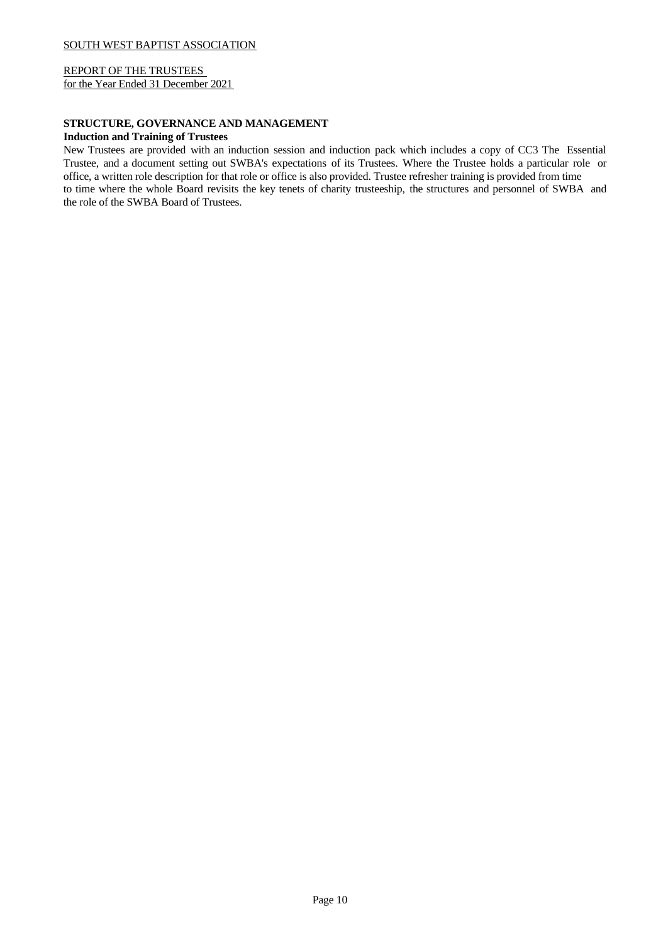REPORT OF THE TRUSTEES for the Year Ended 31 December 2021

# **STRUCTURE, GOVERNANCE AND MANAGEMENT Induction and Training of Trustees**

New Trustees are provided with an induction session and induction pack which includes a copy of CC3 The Essential Trustee, and a document setting out SWBA's expectations of its Trustees. Where the Trustee holds a particular role or office, a written role description for that role or office is also provided. Trustee refresher training is provided from time to time where the whole Board revisits the key tenets of charity trusteeship, the structures and personnel of SWBA and the role of the SWBA Board of Trustees.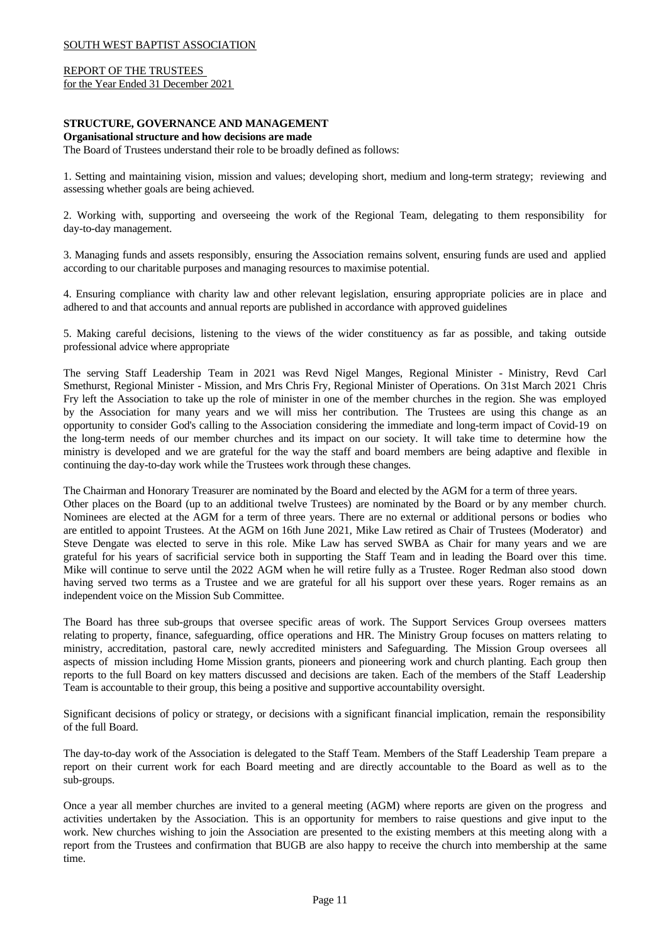REPORT OF THE TRUSTEES for the Year Ended 31 December 2021

### **STRUCTURE, GOVERNANCE AND MANAGEMENT**

#### **Organisational structure and how decisions are made**

The Board of Trustees understand their role to be broadly defined as follows:

1. Setting and maintaining vision, mission and values; developing short, medium and long-term strategy; reviewing and assessing whether goals are being achieved.

2. Working with, supporting and overseeing the work of the Regional Team, delegating to them responsibility for day-to-day management.

3. Managing funds and assets responsibly, ensuring the Association remains solvent, ensuring funds are used and applied according to our charitable purposes and managing resources to maximise potential.

4. Ensuring compliance with charity law and other relevant legislation, ensuring appropriate policies are in place and adhered to and that accounts and annual reports are published in accordance with approved guidelines

5. Making careful decisions, listening to the views of the wider constituency as far as possible, and taking outside professional advice where appropriate

The serving Staff Leadership Team in 2021 was Revd Nigel Manges, Regional Minister - Ministry, Revd Carl Smethurst, Regional Minister - Mission, and Mrs Chris Fry, Regional Minister of Operations. On 31st March 2021 Chris Fry left the Association to take up the role of minister in one of the member churches in the region. She was employed by the Association for many years and we will miss her contribution. The Trustees are using this change as an opportunity to consider God's calling to the Association considering the immediate and long-term impact of Covid-19 on the long-term needs of our member churches and its impact on our society. It will take time to determine how the ministry is developed and we are grateful for the way the staffand board members are being adaptive and flexible in continuing the day-to-day work while the Trustees work through these changes.

The Chairman and Honorary Treasurer are nominated by the Board and elected by the AGM for a term of three years.

Other places on the Board (up to an additional twelve Trustees) are nominated by the Board or by any member church. Nominees are elected at the AGM for a term of three years. There are no external or additional persons or bodies who are entitled to appoint Trustees. At the AGM on 16th June 2021, Mike Law retired as Chair of Trustees (Moderator) and Steve Dengate was elected to serve in this role. Mike Law has served SWBA as Chair for many years and we are grateful for his years of sacrificial service both in supporting the Staff Team and in leading the Board over this time. Mike will continue to serve until the 2022 AGM when he will retire fully as a Trustee. Roger Redman also stood down having served two terms as a Trustee and we are grateful for all his support over these years. Roger remains as an independent voice on the Mission Sub Committee.

The Board has three sub-groups that oversee specific areas of work. The Support Services Group oversees matters relating to property, finance, safeguarding, office operations and HR. The Ministry Group focuses on matters relating to ministry, accreditation, pastoral care, newly accredited ministers and Safeguarding. The Mission Group oversees all aspects of mission including Home Mission grants, pioneers and pioneering work and church planting. Each group then reports to the full Board on key matters discussed and decisions are taken. Each of the members of the Staff Leadership Team is accountable to their group, this being a positive and supportive accountability oversight.

Significant decisions of policy or strategy, or decisions with a significant financial implication, remain the responsibility of the full Board.

The day-to-day work of the Association is delegated to the Staff Team. Members of the Staff Leadership Team prepare a report on their current work for each Board meeting and are directly accountable to the Board as wellas to the sub-groups.

Once a year all member churches are invited to a general meeting (AGM) where reports are given on the progress and activities undertaken by the Association. This is an opportunity for members to raise questions and give input to the work. New churches wishing to join the Association are presented to the existing members at this meeting along with a report from the Trustees and confirmation that BUGB are also happy to receive the church into membership at the same time.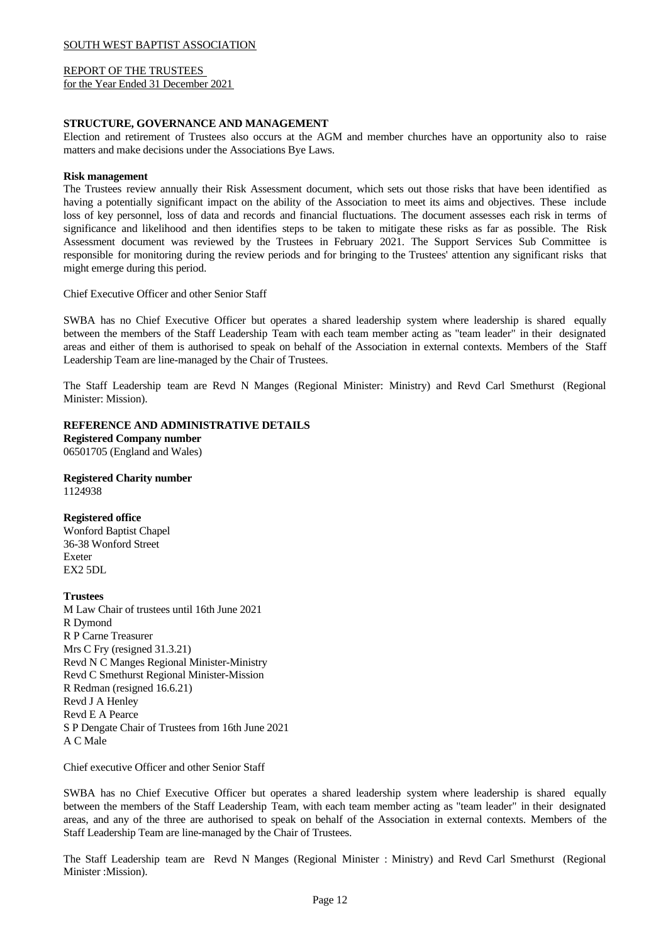REPORT OF THE TRUSTEES for the Year Ended 31 December 2021

### **STRUCTURE, GOVERNANCE AND MANAGEMENT**

Election and retirement of Trustees also occurs at the AGM and member churches have an opportunity also to raise matters and make decisions under the Associations Bye Laws.

### **Risk management**

The Trustees review annually their Risk Assessment document, which sets out those risks that have been identified as having a potentially significant impact on the ability of the Association to meet its aims and objectives. These include loss of key personnel, loss of data and records and financial fluctuations. The document assesses each risk in terms of significance and likelihood and then identifies steps to be taken to mitigate these risks as far as possible. The Risk Assessment document was reviewed by the Trustees in February 2021. The Support Services Sub Committee is responsible for monitoring during the review periods and for bringing to the Trustees' attention any significant risks that might emerge during this period.

Chief Executive Officer and other Senior Staff

SWBA has no Chief Executive Officer but operates a shared leadership system where leadership is shared equally between the members of the Staff Leadership Team with each team member acting as"team leader" in their designated areas and either of them is authorised to speak on behalf of the Association in external contexts. Members of the Staff Leadership Team are line-managed by the Chair of Trustees.

The Staff Leadership team are Revd N Manges (Regional Minister: Ministry) and Revd Carl Smethurst (Regional Minister: Mission).

### **REFERENCE AND ADMINISTRATIVE DETAILS**

**Registered Company number** 06501705 (England and Wales)

# **Registered Charity number**

1124938

# **Registered office**

Wonford Baptist Chapel 36-38 Wonford Street Exeter EX2 5DL

# **Trustees**

M Law Chair of trustees until 16th June 2021 R Dymond R P Carne Treasurer Mrs C Fry (resigned 31.3.21) Revd N C Manges Regional Minister-Ministry Revd C Smethurst Regional Minister-Mission R Redman (resigned 16.6.21) Revd J A Henley Revd E A Pearce S P Dengate Chair of Trustees from 16th June 2021 A C Male

Chief executive Officer and other Senior Staff

SWBA has no Chief Executive Officer but operates a shared leadership system where leadership is shared equally between the members of the Staff Leadership Team, with each team member acting as"team leader" in their designated areas, and any of the three are authorised to speak on behalf of the Association in external contexts. Members of the Staff Leadership Team are line-managed by the Chair of Trustees.

The Staff Leadership team are Revd N Manges (Regional Minister : Ministry) and Revd Carl Smethurst (Regional Minister :Mission).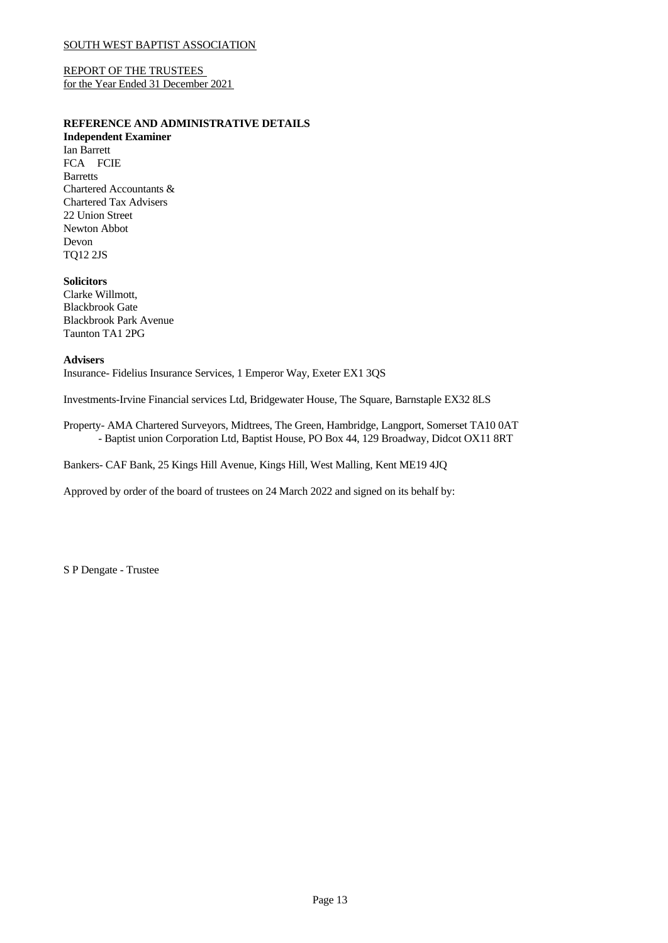REPORT OF THE TRUSTEES for the Year Ended 31 December 2021

# **REFERENCE AND ADMINISTRATIVE DETAILS**

**Independent Examiner** Ian Barrett FCA FCIE Barretts Chartered Accountants & Chartered Tax Advisers 22 Union Street Newton Abbot Devon TQ12 2JS

# **Solicitors**

Clarke Willmott, Blackbrook Gate Blackbrook Park Avenue Taunton TA1 2PG

# **Advisers**

Insurance- Fidelius Insurance Services, 1 Emperor Way, Exeter EX1 3QS

Investments-Irvine Financial services Ltd, Bridgewater House, The Square, Barnstaple EX32 8LS

Property- AMA Chartered Surveyors, Midtrees, The Green, Hambridge, Langport, Somerset TA10 0AT - Baptist union Corporation Ltd, Baptist House, PO Box 44, 129 Broadway, Didcot OX11 8RT

Bankers- CAF Bank, 25 Kings Hill Avenue, Kings Hill, West Malling, Kent ME19 4JQ

Approved by order of the board of trustees on 24 March 2022 and signed on its behalf by:

S P Dengate - Trustee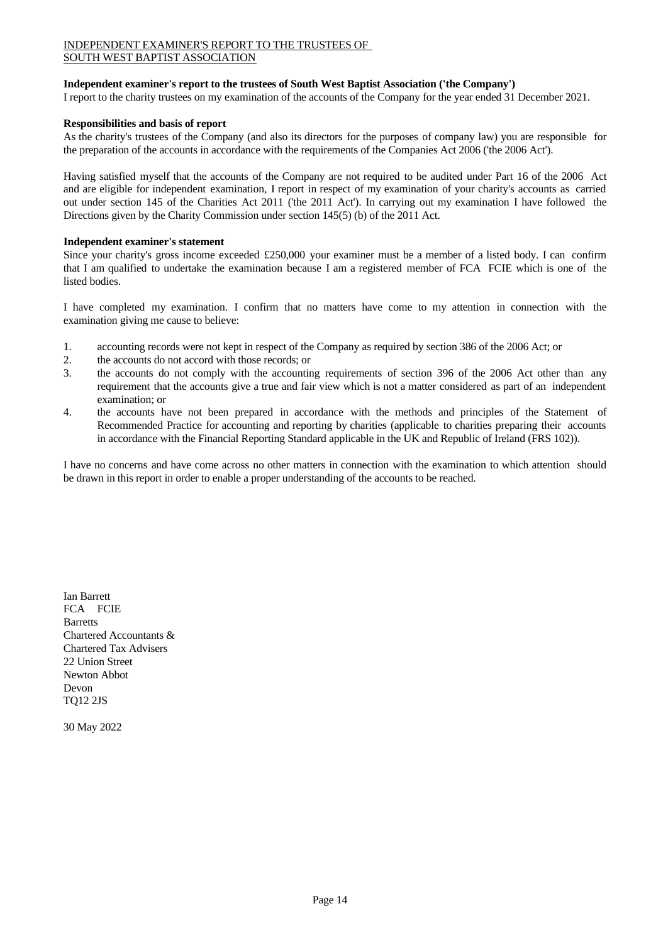# INDEPENDENT EXAMINER'S REPORT TO THE TRUSTEES OF SOUTH WEST BAPTIST ASSOCIATION

# **Independent examiner's report to the trustees of South West Baptist Association ('the Company')**

I report to the charity trustees on my examination of the accounts of the Company for the year ended 31 December 2021.

# **Responsibilities and basis of report**

As the charity's trustees of the Company (and also its directors for the purposes of company law) you are responsible for the preparation of the accounts in accordance with the requirements of the Companies Act 2006 ('the 2006 Act').

Having satisfied myself that the accounts of the Company are not required to be audited under Part 16 of the 2006 Act and are eligible for independent examination, I report in respect of my examination of your charity's accounts as carried out under section 145 of the Charities Act 2011 ('the 2011 Act'). In carrying out my examination I have followed the Directions given by the Charity Commission under section 145(5) (b) of the 2011 Act.

### **Independent examiner's statement**

Since your charity's gross income exceeded £250,000 your examiner must be a member of a listed body. I can confirm that I am qualified to undertake the examination because I am a registered member of FCA FCIE which is one of the listed bodies.

I have completed my examination. I confirm that no matters have come to my attention in connection with the examination giving me cause to believe:

- 1. accounting records were not kept in respect of the Company as required by section 386 of the 2006 Act; or
- 2. the accounts do not accord with those records; or
- 3. the accounts do not comply with the accounting requirements of section 396 ofthe 2006 Act other than any requirement that the accounts give a true and fair view which is not a matter considered as part of an independent examination; or
- 4. the accounts have not been prepared in accordance with the methods and principles of the Statement of Recommended Practice for accounting and reporting by charities (applicable to charities preparing their accounts in accordance with the Financial Reporting Standard applicable in the UK and Republic of Ireland (FRS 102)).

I have no concerns and have come across no other matters in connection with the examination to which attention should be drawn in this report in order to enable a proper understanding of the accounts to be reached.

Ian Barrett FCA FCIE Barretts Chartered Accountants & Chartered Tax Advisers 22 Union Street Newton Abbot Devon TQ12 2JS

30 May 2022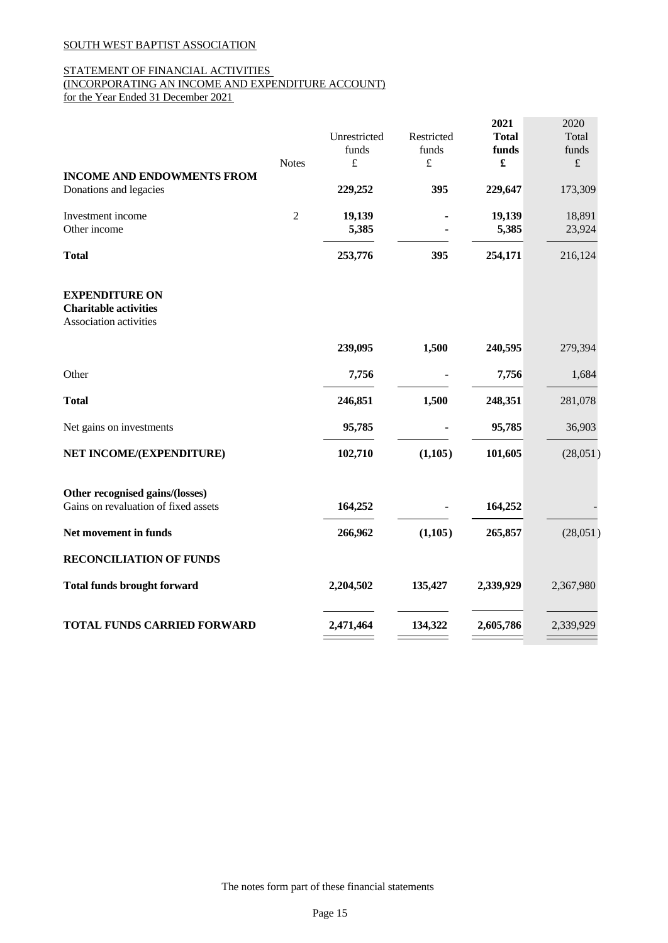# STATEMENT OF FINANCIAL ACTIVITIES (INCORPORATING AN INCOME AND EXPENDITURE ACCOUNT)

for the Year Ended 31 December 2021

|                                                                         |                |                 |            | 2021            | 2020             |
|-------------------------------------------------------------------------|----------------|-----------------|------------|-----------------|------------------|
|                                                                         |                | Unrestricted    | Restricted | <b>Total</b>    | Total            |
|                                                                         |                | funds           | funds      | funds           | funds            |
|                                                                         | <b>Notes</b>   | $\pounds$       | $\pounds$  | £               | $\pounds$        |
| <b>INCOME AND ENDOWMENTS FROM</b><br>Donations and legacies             |                | 229,252         | 395        | 229,647         | 173,309          |
| Investment income                                                       | $\overline{2}$ |                 |            |                 |                  |
| Other income                                                            |                | 19,139<br>5,385 |            | 19,139<br>5,385 | 18,891<br>23,924 |
|                                                                         |                |                 |            |                 |                  |
| <b>Total</b>                                                            |                | 253,776         | 395        | 254,171         | 216,124          |
| <b>EXPENDITURE ON</b>                                                   |                |                 |            |                 |                  |
| <b>Charitable activities</b>                                            |                |                 |            |                 |                  |
| Association activities                                                  |                |                 |            |                 |                  |
|                                                                         |                | 239,095         | 1,500      | 240,595         | 279,394          |
| Other                                                                   |                | 7,756           |            | 7,756           | 1,684            |
| <b>Total</b>                                                            |                | 246,851         | 1,500      | 248,351         | 281,078          |
| Net gains on investments                                                |                | 95,785          |            | 95,785          | 36,903           |
| NET INCOME/(EXPENDITURE)                                                |                | 102,710         | (1,105)    | 101,605         | (28,051)         |
|                                                                         |                |                 |            |                 |                  |
| Other recognised gains/(losses)<br>Gains on revaluation of fixed assets |                | 164,252         |            | 164,252         |                  |
| Net movement in funds                                                   |                | 266,962         | (1,105)    | 265,857         | (28,051)         |
| <b>RECONCILIATION OF FUNDS</b>                                          |                |                 |            |                 |                  |
| <b>Total funds brought forward</b>                                      |                | 2,204,502       | 135,427    | 2,339,929       | 2,367,980        |
| <b>TOTAL FUNDS CARRIED FORWARD</b>                                      |                | 2,471,464       | 134,322    | 2,605,786       | 2,339,929        |
|                                                                         |                |                 |            |                 |                  |

The notes form part of these financial statements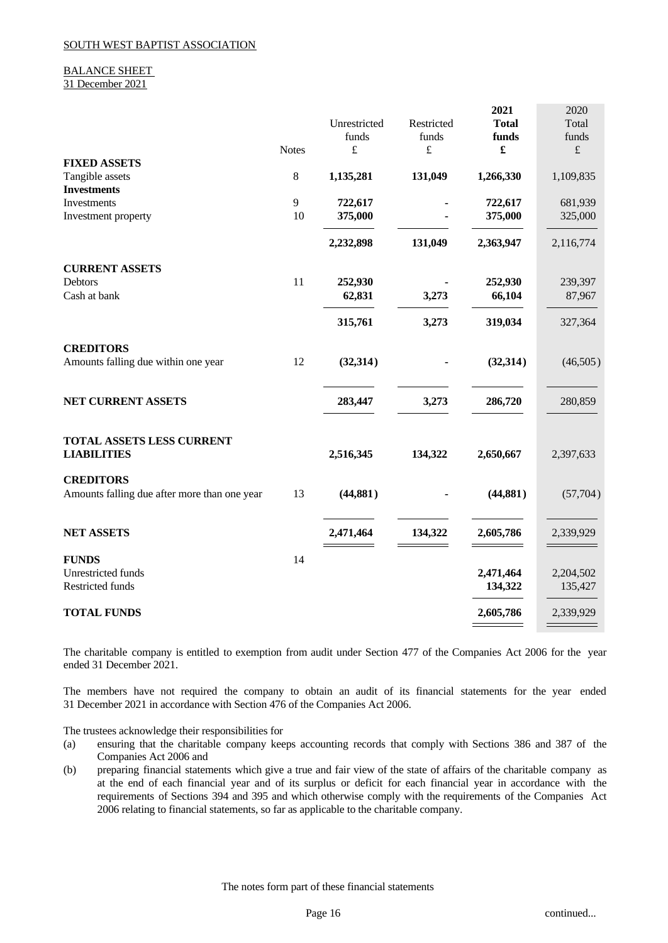# BALANCE SHEET

31 December 2021

|                                                 |              |              |            | 2021                 | 2020      |
|-------------------------------------------------|--------------|--------------|------------|----------------------|-----------|
|                                                 |              | Unrestricted | Restricted | <b>Total</b>         | Total     |
|                                                 |              | funds        | funds      | funds                | funds     |
|                                                 | <b>Notes</b> | $\pounds$    | $\pounds$  | $\pmb{\mathfrak{L}}$ | $\pounds$ |
| <b>FIXED ASSETS</b>                             |              |              |            |                      |           |
| Tangible assets                                 | $\,8\,$      | 1,135,281    | 131,049    | 1,266,330            | 1,109,835 |
| <b>Investments</b>                              |              |              |            |                      |           |
| Investments                                     | 9            | 722,617      |            | 722,617              | 681,939   |
| Investment property                             | 10           | 375,000      |            | 375,000              | 325,000   |
|                                                 |              |              |            |                      |           |
|                                                 |              | 2,232,898    | 131,049    | 2,363,947            | 2,116,774 |
| <b>CURRENT ASSETS</b>                           |              |              |            |                      |           |
| Debtors                                         | 11           | 252,930      |            | 252,930              | 239,397   |
| Cash at bank                                    |              | 62,831       | 3,273      | 66,104               | 87,967    |
|                                                 |              | 315,761      | 3,273      | 319,034              | 327,364   |
| <b>CREDITORS</b>                                |              |              |            |                      |           |
| Amounts falling due within one year             | 12           | (32, 314)    |            | (32, 314)            | (46,505)  |
|                                                 |              |              |            |                      |           |
| NET CURRENT ASSETS                              |              | 283,447      | 3,273      | 286,720              | 280,859   |
|                                                 |              |              |            |                      |           |
| TOTAL ASSETS LESS CURRENT<br><b>LIABILITIES</b> |              | 2,516,345    | 134,322    | 2,650,667            | 2,397,633 |
|                                                 |              |              |            |                      |           |
| <b>CREDITORS</b>                                |              |              |            |                      |           |
| Amounts falling due after more than one year    | 13           | (44, 881)    |            | (44, 881)            | (57,704)  |
|                                                 |              |              |            |                      |           |
| <b>NET ASSETS</b>                               |              | 2,471,464    | 134,322    | 2,605,786            | 2,339,929 |
| <b>FUNDS</b>                                    | 14           |              |            |                      |           |
| Unrestricted funds                              |              |              |            | 2,471,464            | 2,204,502 |
| Restricted funds                                |              |              |            | 134,322              | 135,427   |
|                                                 |              |              |            |                      |           |
| <b>TOTAL FUNDS</b>                              |              |              |            | 2,605,786            | 2,339,929 |
|                                                 |              |              |            |                      |           |

The charitable company is entitled to exemption from audit under Section 477 of the Companies Act 2006 for the year ended 31 December 2021.

The members have not required the company to obtain an audit of its financial statements for the year ended 31 December 2021 in accordance with Section 476 of the Companies Act 2006.

The trustees acknowledge their responsibilities for

- (a) ensuring that the charitable company keeps accounting records that comply with Sections 386 and 387 of the Companies Act 2006 and
- (b) preparing financial statements which give a true and fair view of the state of affairs of the charitable company as at the end of each financial year and of its surplus or deficit for each financial year in accordance with the requirements of Sections 394 and 395 and which otherwise comply with the requirements of the Companies Act 2006 relating to financial statements, so far as applicable to the charitable company.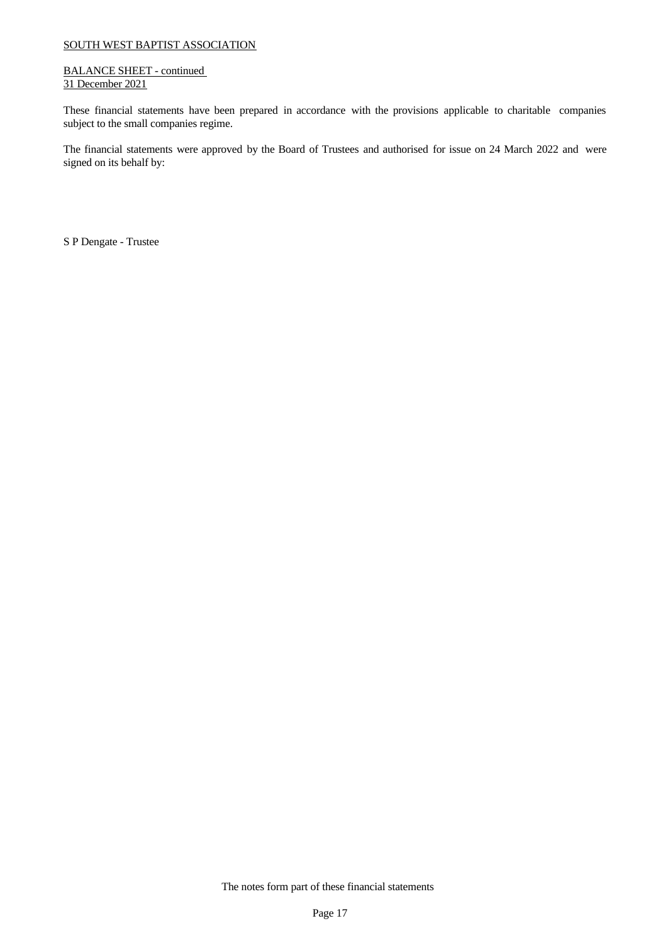### BALANCE SHEET - continued 31 December 2021

These financial statements have been prepared in accordance with the provisions applicable to charitable companies subject to the small companies regime.

The financial statements were approved by the Board of Trustees and authorised for issue on 24 March 2022 and were signed on its behalf by:

S P Dengate - Trustee

The notes form part of these financial statements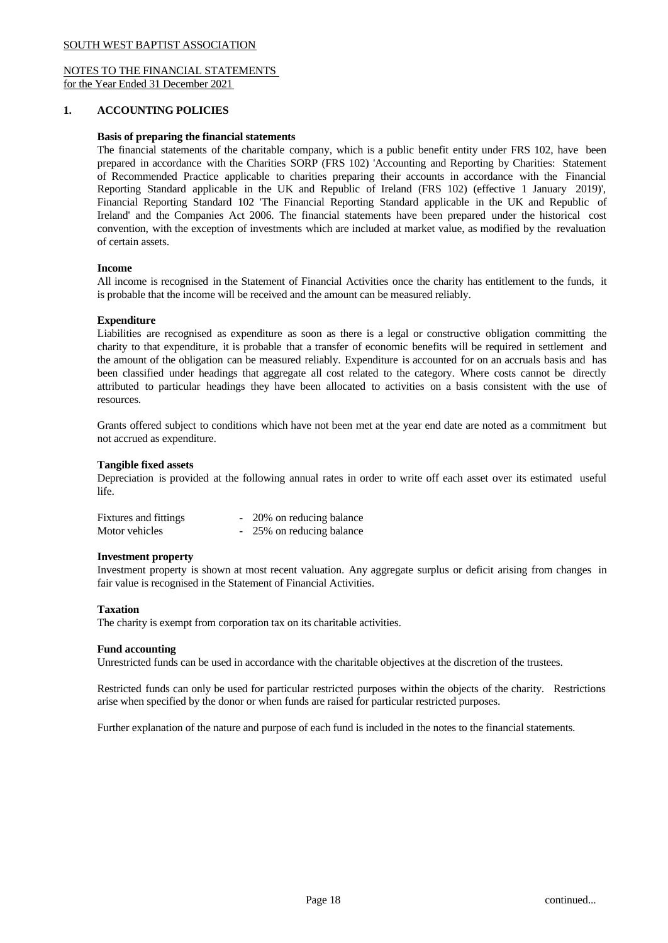# NOTES TO THE FINANCIAL STATEMENTS for the Year Ended 31 December 2021

# **1. ACCOUNTING POLICIES**

### **Basis of preparing the financial statements**

The financial statements of the charitable company, which is a public benefit entity under FRS 102, have been prepared in accordance with the Charities SORP (FRS 102) 'Accounting and Reporting by Charities: Statement of Recommended Practice applicable to charities preparing their accounts in accordance with the Financial Reporting Standard applicable in the UK and Republic of Ireland (FRS 102) (effective 1 January 2019)', Financial Reporting Standard 102 'The Financial Reporting Standard applicable in the UK and Republic of Ireland' and the Companies Act 2006. The financial statements have been prepared under the historical cost convention, with the exception of investments which are included at market value, as modified by the revaluation of certain assets.

### **Income**

All income is recognised in the Statement of Financial Activities once the charity has entitlement to the funds, it is probable that the income will be received and the amount can be measured reliably.

### **Expenditure**

Liabilities are recognised as expenditure as soon as there is a legal or constructive obligation committing the charity to that expenditure, it is probable that a transfer of economic benefits will be required in settlement and the amount of the obligation can be measured reliably. Expenditure is accounted for on an accruals basis and has been classified under headings that aggregate all cost related to the category. Where costs cannot be directly attributed to particular headings they have been allocated to activities on a basis consistent with the use of resources.

Grants offered subject to conditions which have not been met at the year end date are noted as a commitment but not accrued as expenditure.

### **Tangible fixed assets**

Depreciation is provided at the following annual rates in order to write off each asset over its estimated useful life.

| <b>Fixtures and fittings</b> | - 20% on reducing balance |
|------------------------------|---------------------------|
| Motor vehicles               | - 25% on reducing balance |

# **Investment property**

Investment property is shown at most recent valuation. Any aggregate surplus or deficit arising from changes in fair value is recognised in the Statement of Financial Activities.

### **Taxation**

The charity is exempt from corporation tax on its charitable activities.

### **Fund accounting**

Unrestricted funds can be used in accordance with the charitable objectives at the discretion of the trustees.

Restricted funds can only be used for particular restricted purposes within the objects of the charity. Restrictions arise when specified by the donor or when funds are raised for particular restricted purposes.

Further explanation of the nature and purpose of each fund is included in the notes to the financial statements.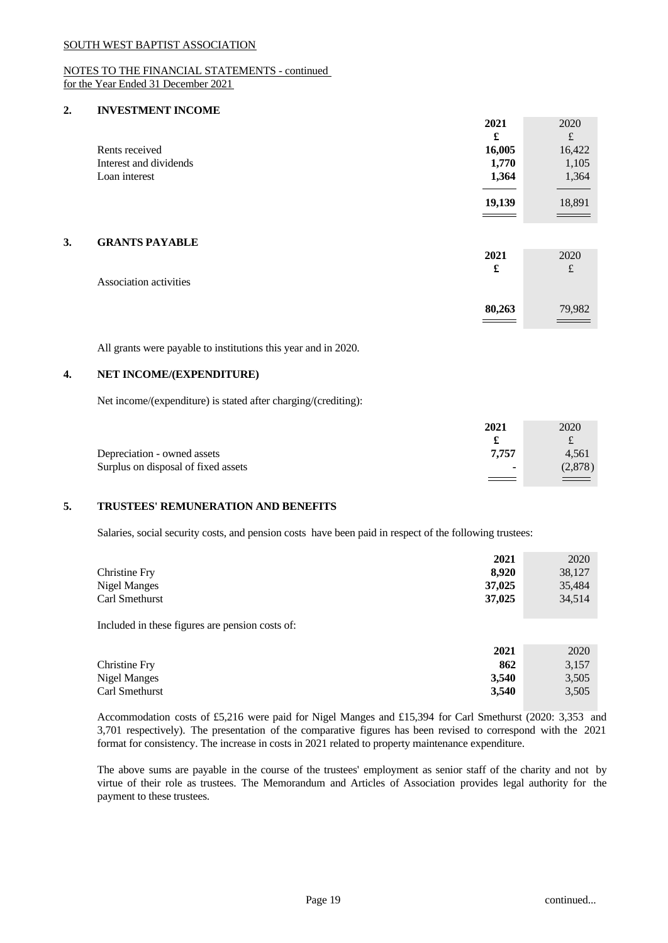# NOTES TO THE FINANCIAL STATEMENTS - continued for the Year Ended 31 December 2021

## **2. INVESTMENT INCOME**

|                        | 2021               | 2020                          |
|------------------------|--------------------|-------------------------------|
|                        | £                  | $\mathbf f$                   |
| Rents received         | 16,005             | 16,422                        |
| Interest and dividends | 1,770              | 1,105                         |
| Loan interest          | 1,364              | 1,364                         |
|                        |                    |                               |
|                        | $\frac{19,139}{2}$ | $\frac{18,891}{\frac{1}{20}}$ |
|                        |                    |                               |
|                        |                    |                               |

# **3. GRANTS PAYABLE**

| Association activities | 2021<br>£               | 2020<br>$\epsilon$<br>t |  |
|------------------------|-------------------------|-------------------------|--|
|                        | 80,263<br>$\sim$ $\sim$ | 79,982                  |  |

All grants were payable to institutions this year and in 2020.

# **4. NET INCOME/(EXPENDITURE)**

Net income/(expenditure) is stated after charging/(crediting):

|                                     | 2021                     | 2020     |  |
|-------------------------------------|--------------------------|----------|--|
|                                     |                          | ىمە      |  |
| Depreciation - owned assets         | 7,757                    | 4,561    |  |
| Surplus on disposal of fixed assets | $\overline{\phantom{a}}$ | (2, 878) |  |
|                                     |                          | $=$ $-$  |  |

# **5. TRUSTEES' REMUNERATION AND BENEFITS**

Salaries, social security costs, and pension costs have been paid in respect of the following trustees:

|                                                                                                                                                                                                                                                                                                  | 2021   | 2020   |
|--------------------------------------------------------------------------------------------------------------------------------------------------------------------------------------------------------------------------------------------------------------------------------------------------|--------|--------|
| Christine Fry                                                                                                                                                                                                                                                                                    | 8,920  | 38,127 |
| <b>Nigel Manges</b>                                                                                                                                                                                                                                                                              | 37,025 | 35,484 |
| Carl Smethurst                                                                                                                                                                                                                                                                                   | 37,025 | 34,514 |
|                                                                                                                                                                                                                                                                                                  |        |        |
| $\mathbf{r}$ and $\mathbf{r}$ and $\mathbf{r}$ and $\mathbf{r}$ and $\mathbf{r}$ and $\mathbf{r}$ and $\mathbf{r}$ and $\mathbf{r}$ and $\mathbf{r}$ and $\mathbf{r}$ and $\mathbf{r}$ and $\mathbf{r}$ and $\mathbf{r}$ and $\mathbf{r}$ and $\mathbf{r}$ and $\mathbf{r}$ and $\mathbf{r}$ and |        |        |

Included in these figures are pension costs of:

|                     | 2021  | 2020  |
|---------------------|-------|-------|
| Christine Fry       | 862   | 3,157 |
| <b>Nigel Manges</b> | 3,540 | 3,505 |
| Carl Smethurst      | 3,540 | 3,505 |
|                     |       |       |

Accommodation costs of £5,216 were paid for Nigel Manges and £15,394 for Carl Smethurst (2020: 3,353 and 3,701 respectively). The presentation of the comparative figures has been revised to correspond with the 2021 format for consistency. The increase in costs in 2021 related to property maintenance expenditure.

The above sums are payable in the course of the trustees' employment as senior staff of the charity and not by virtue of their role as trustees. The Memorandum and Articles of Association provides legal authority for the payment to these trustees.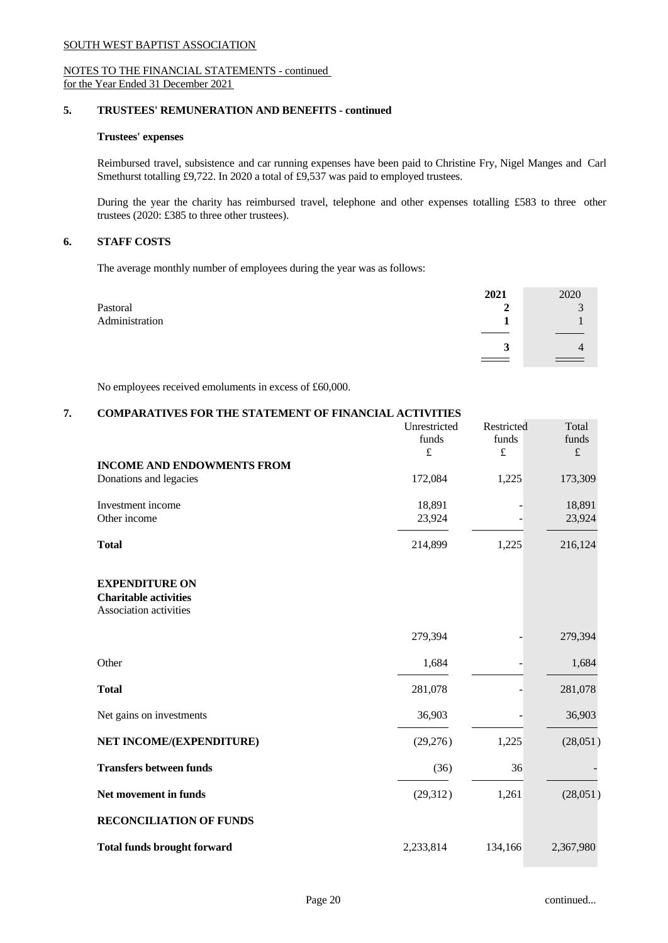# NOTES TO THE FINANCIAL STATEMENTS - continued for the Year Ended 31 December 2021

# **5. TRUSTEES' REMUNERATION AND BENEFITS - continued**

# **Trustees' expenses**

Reimbursed travel, subsistence and car running expenses have been paid to Christine Fry, Nigel Manges and Carl Smethurst totalling £9,722. In 2020 a total of £9,537 was paid to employed trustees.

During the year the charity has reimbursed travel, telephone and other expenses totalling  $£583$  to three other trustees (2020: £385 to three other trustees).

### **6. STAFF COSTS**

The average monthly number of employees during the year was as follows:

|                | 2021                       | 2020                 |  |
|----------------|----------------------------|----------------------|--|
| Pastoral       | $\overline{2}$             | $\sim$<br>J          |  |
| Administration |                            |                      |  |
|                |                            |                      |  |
|                | $\mathbf{\mathbf{a}}$<br>ູ | 4                    |  |
|                |                            | $\sim$ $\sim$ $\sim$ |  |

No employees received emoluments in excess of £60,000.

# **7. COMPARATIVES FOR THE STATEMENT OF FINANCIAL ACTIVITIES**

|                                                                                 | Unrestricted<br>funds<br>$\pounds$ | Restricted<br>funds<br>$\pounds$ | Total<br>funds<br>$\pounds$ |
|---------------------------------------------------------------------------------|------------------------------------|----------------------------------|-----------------------------|
| <b>INCOME AND ENDOWMENTS FROM</b><br>Donations and legacies                     | 172,084                            | 1,225                            | 173,309                     |
| Investment income<br>Other income                                               | 18,891<br>23,924                   |                                  | 18,891<br>23,924            |
| <b>Total</b>                                                                    | 214,899                            | 1,225                            | 216,124                     |
| <b>EXPENDITURE ON</b><br><b>Charitable activities</b><br>Association activities |                                    |                                  |                             |
|                                                                                 | 279,394                            |                                  | 279,394                     |
| Other                                                                           | 1,684                              |                                  | 1,684                       |
| <b>Total</b>                                                                    | 281,078                            |                                  | 281,078                     |
| Net gains on investments                                                        | 36,903                             |                                  | 36,903                      |
| NET INCOME/(EXPENDITURE)                                                        | (29,276)                           | 1,225                            | (28,051)                    |
| <b>Transfers between funds</b>                                                  | (36)                               | 36                               |                             |
| Net movement in funds                                                           | (29,312)                           | 1,261                            | (28,051)                    |
| <b>RECONCILIATION OF FUNDS</b>                                                  |                                    |                                  |                             |
| <b>Total funds brought forward</b>                                              | 2,233,814                          | 134,166                          | 2,367,980                   |
|                                                                                 |                                    |                                  |                             |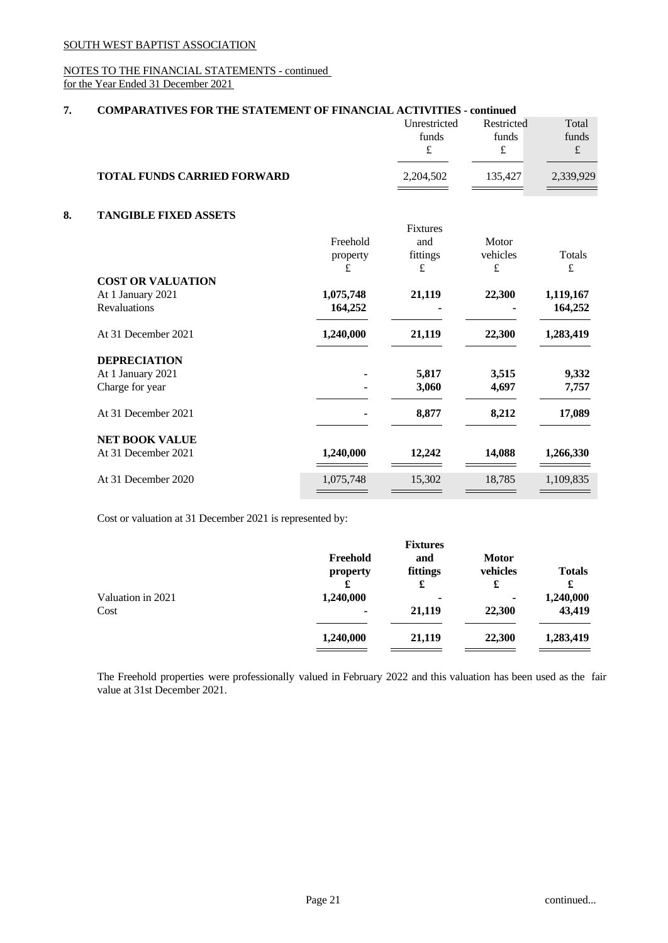# NOTES TO THE FINANCIAL STATEMENTS - continued for the Year Ended 31 December 2021

# **7. COMPARATIVES FOR THE STATEMENT OF FINANCIAL ACTIVITIES - continued**

|    |                                    |               | Unrestricted<br>funds<br>$\pounds$ | Restricted<br>funds<br>£ | Total<br>funds<br>$\pounds$ |
|----|------------------------------------|---------------|------------------------------------|--------------------------|-----------------------------|
|    | <b>TOTAL FUNDS CARRIED FORWARD</b> |               | 2,204,502                          | 135,427                  | 2,339,929                   |
| 8. | <b>TANGIBLE FIXED ASSETS</b>       |               |                                    |                          |                             |
|    |                                    |               | Fixtures                           |                          |                             |
|    |                                    | Freehold      | and<br>fittings                    | Motor<br>vehicles        | <b>Totals</b>               |
|    |                                    | property<br>£ | £                                  | $\pounds$                | £                           |
|    | <b>COST OR VALUATION</b>           |               |                                    |                          |                             |
|    | At 1 January 2021                  | 1,075,748     | 21,119                             | 22,300                   | 1,119,167                   |
|    | Revaluations                       | 164,252       |                                    |                          | 164,252                     |
|    | At 31 December 2021                | 1,240,000     | 21,119                             | 22,300                   | 1,283,419                   |
|    | <b>DEPRECIATION</b>                |               |                                    |                          |                             |
|    | At 1 January 2021                  |               | 5,817                              | 3,515                    | 9,332                       |
|    | Charge for year                    |               | 3,060                              | 4,697                    | 7,757                       |
|    | At 31 December 2021                |               | 8,877                              | 8,212                    | 17,089                      |
|    | <b>NET BOOK VALUE</b>              |               |                                    |                          |                             |
|    | At 31 December 2021                | 1,240,000     | 12,242                             | 14,088                   | 1,266,330                   |
|    | At 31 December 2020                | 1,075,748     | 15,302                             | 18,785                   | 1,109,835                   |
|    |                                    |               |                                    |                          |                             |

Cost or valuation at 31 December 2021 is represented by:

|                           |                             | <b>Fixtures</b>      |                               |                     |
|---------------------------|-----------------------------|----------------------|-------------------------------|---------------------|
|                           | Freehold<br>property<br>£   | and<br>fittings<br>£ | <b>Motor</b><br>vehicles<br>£ | <b>Totals</b><br>£  |
| Valuation in 2021<br>Cost | 1,240,000<br>$\blacksquare$ | ۰<br>21,119          | ۰<br>22,300                   | 1,240,000<br>43,419 |
|                           | 1,240,000                   | 21,119               | 22,300                        | 1,283,419           |
|                           |                             |                      |                               |                     |

The Freehold properties were professionally valued in February 2022 and this valuation has been used as the fair value at 31st December 2021.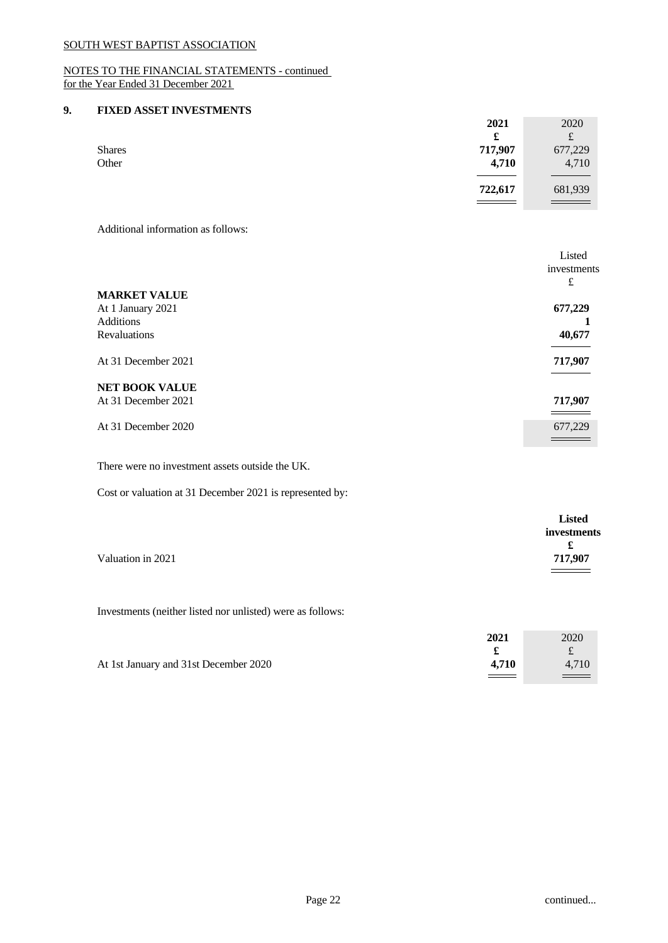# NOTES TO THE FINANCIAL STATEMENTS - continued for the Year Ended 31 December 2021

# **9. FIXED ASSET INVESTMENTS**

| 2021                     | 2020        |
|--------------------------|-------------|
| £                        | $\mathbf f$ |
| 717,907<br><b>Shares</b> | 677,229     |
| Other<br>4,710           | 4,710       |
|                          |             |
| 722,617                  | 681,939     |
|                          |             |

Additional information as follows:

|                       | Listed      |
|-----------------------|-------------|
|                       | investments |
|                       | £           |
| <b>MARKET VALUE</b>   |             |
| At 1 January 2021     | 677,229     |
| Additions             |             |
| Revaluations          | 40,677      |
| At 31 December 2021   | 717,907     |
| <b>NET BOOK VALUE</b> |             |
| At 31 December 2021   | 717,907     |
|                       |             |
| At 31 December 2020   | 677,229     |
|                       |             |

There were no investment assets outside the UK.

Cost or valuation at 31 December 2021 is represented by:

|                   | <b>Listed</b> |
|-------------------|---------------|
|                   | investments   |
|                   | £             |
| Valuation in 2021 | 717,907       |
|                   |               |

Investments (neither listed nor unlisted) were as follows:

|                                       | 2021    | 2020        |  |
|---------------------------------------|---------|-------------|--|
|                                       |         | ساه         |  |
| At 1st January and 31st December 2020 | 4.710   | 4,710       |  |
|                                       | _______ | <u> — v</u> |  |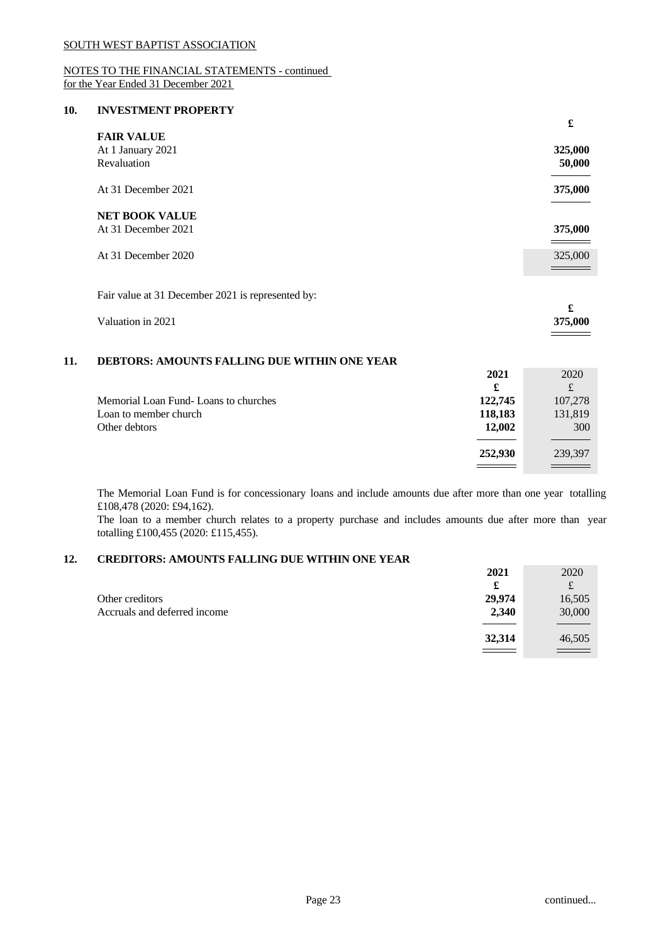# NOTES TO THE FINANCIAL STATEMENTS - continued for the Year Ended 31 December 2021

### **10. INVESTMENT PROPERTY**

|                                                   |                      | £                               |
|---------------------------------------------------|----------------------|---------------------------------|
| <b>FAIR VALUE</b>                                 |                      |                                 |
| At 1 January 2021                                 |                      | 325,000                         |
| Revaluation                                       |                      | 50,000                          |
| At 31 December 2021                               |                      | 375,000                         |
| <b>NET BOOK VALUE</b>                             |                      |                                 |
| At 31 December 2021                               |                      | 375,000                         |
| At 31 December 2020                               |                      | 325,000                         |
| Fair value at 31 December 2021 is represented by: |                      |                                 |
| Valuation in 2021                                 |                      | $\pmb{\mathfrak{L}}$<br>375,000 |
| DEBTORS: AMOUNTS FALLING DUE WITHIN ONE YEAR      |                      |                                 |
|                                                   | 2021                 | 2020                            |
|                                                   | $\pmb{\mathfrak{L}}$ | $\pounds$                       |
| Memorial Loan Fund-Loans to churches              | 122,745              | 107,278                         |
| Loan to member church                             | 118,183              | 131,819                         |
| Other debtors                                     | 12,002               | 300                             |
|                                                   | 252,930              | 239,397                         |
|                                                   |                      |                                 |

The Memorial Loan Fund is for concessionary loans and include amounts due aftermore than one year totalling £108,478 (2020: £94,162).

The loan to a member church relates to a property purchase and includes amounts due after more than year totalling £100,455 (2020: £115,455).

# **12. CREDITORS: AMOUNTS FALLING DUE WITHIN ONE YEAR**

|                              | 2021   | 2020    |
|------------------------------|--------|---------|
|                              | £      | f.<br>s |
| Other creditors              | 29,974 | 16,505  |
| Accruals and deferred income | 2,340  | 30,000  |
|                              |        |         |
|                              | 32,314 | 46,505  |
|                              |        |         |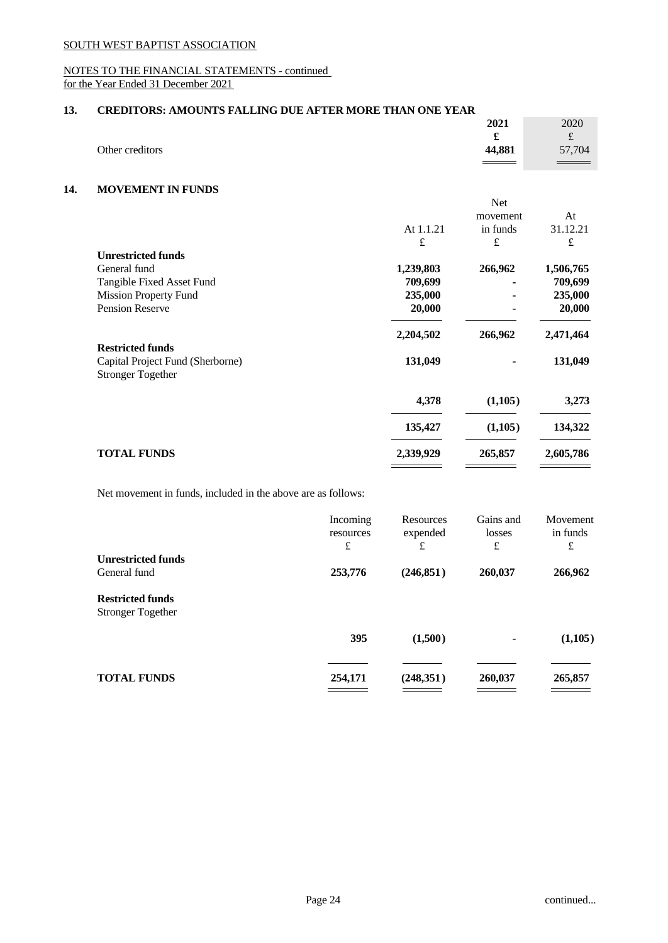# NOTES TO THE FINANCIAL STATEMENTS - continued for the Year Ended 31 December 2021

# **13. CREDITORS: AMOUNTS FALLING DUE AFTER MORE THAN ONE YEAR**

|                 | 2021                     | 2020               |
|-----------------|--------------------------|--------------------|
|                 |                          | $\Omega$<br>$\sim$ |
| Other creditors | 44,881                   | 57,704             |
|                 | $\overline{\phantom{a}}$ |                    |

# **14. MOVEMENT IN FUNDS**

| At<br>movement<br>in funds<br>At 1.1.21<br>£<br>£<br>£<br><b>Unrestricted funds</b><br>266,962<br>General fund<br>1,239,803<br>Tangible Fixed Asset Fund<br>709,699<br><b>Mission Property Fund</b><br>235,000<br>Pension Reserve<br>20,000<br>$\blacksquare$<br>2,204,502<br>266,962<br><b>Restricted funds</b><br>131,049<br>Capital Project Fund (Sherborne)<br>٠<br><b>Stronger Together</b><br>4,378<br>(1,105)<br>135,427<br>(1,105)<br><b>TOTAL FUNDS</b><br>2,339,929<br>265,857<br>2,605,786 |  | Net |           |
|-------------------------------------------------------------------------------------------------------------------------------------------------------------------------------------------------------------------------------------------------------------------------------------------------------------------------------------------------------------------------------------------------------------------------------------------------------------------------------------------------------|--|-----|-----------|
|                                                                                                                                                                                                                                                                                                                                                                                                                                                                                                       |  |     |           |
|                                                                                                                                                                                                                                                                                                                                                                                                                                                                                                       |  |     | 31.12.21  |
|                                                                                                                                                                                                                                                                                                                                                                                                                                                                                                       |  |     |           |
|                                                                                                                                                                                                                                                                                                                                                                                                                                                                                                       |  |     |           |
|                                                                                                                                                                                                                                                                                                                                                                                                                                                                                                       |  |     | 1,506,765 |
|                                                                                                                                                                                                                                                                                                                                                                                                                                                                                                       |  |     | 709,699   |
|                                                                                                                                                                                                                                                                                                                                                                                                                                                                                                       |  |     | 235,000   |
|                                                                                                                                                                                                                                                                                                                                                                                                                                                                                                       |  |     | 20,000    |
|                                                                                                                                                                                                                                                                                                                                                                                                                                                                                                       |  |     | 2,471,464 |
|                                                                                                                                                                                                                                                                                                                                                                                                                                                                                                       |  |     |           |
|                                                                                                                                                                                                                                                                                                                                                                                                                                                                                                       |  |     | 131,049   |
|                                                                                                                                                                                                                                                                                                                                                                                                                                                                                                       |  |     | 3,273     |
|                                                                                                                                                                                                                                                                                                                                                                                                                                                                                                       |  |     | 134,322   |
|                                                                                                                                                                                                                                                                                                                                                                                                                                                                                                       |  |     |           |
|                                                                                                                                                                                                                                                                                                                                                                                                                                                                                                       |  |     |           |

Net movement in funds, included in the above are as follows:

|                                                     | Incoming<br>resources<br>£        | Resources<br>expended<br>£ | Gains and<br>losses<br>£ | Movement<br>in funds<br>£ |  |
|-----------------------------------------------------|-----------------------------------|----------------------------|--------------------------|---------------------------|--|
| <b>Unrestricted funds</b>                           |                                   |                            |                          |                           |  |
| General fund                                        | 253,776                           | (246, 851)                 | 260,037                  | 266,962                   |  |
| <b>Restricted funds</b><br><b>Stronger Together</b> |                                   |                            |                          |                           |  |
|                                                     | 395                               | (1,500)                    | $\blacksquare$           | (1,105)                   |  |
|                                                     |                                   |                            |                          |                           |  |
| <b>TOTAL FUNDS</b>                                  | 254,171                           | (248, 351)                 | 260,037                  | 265,857                   |  |
|                                                     | and the control of the control of |                            |                          |                           |  |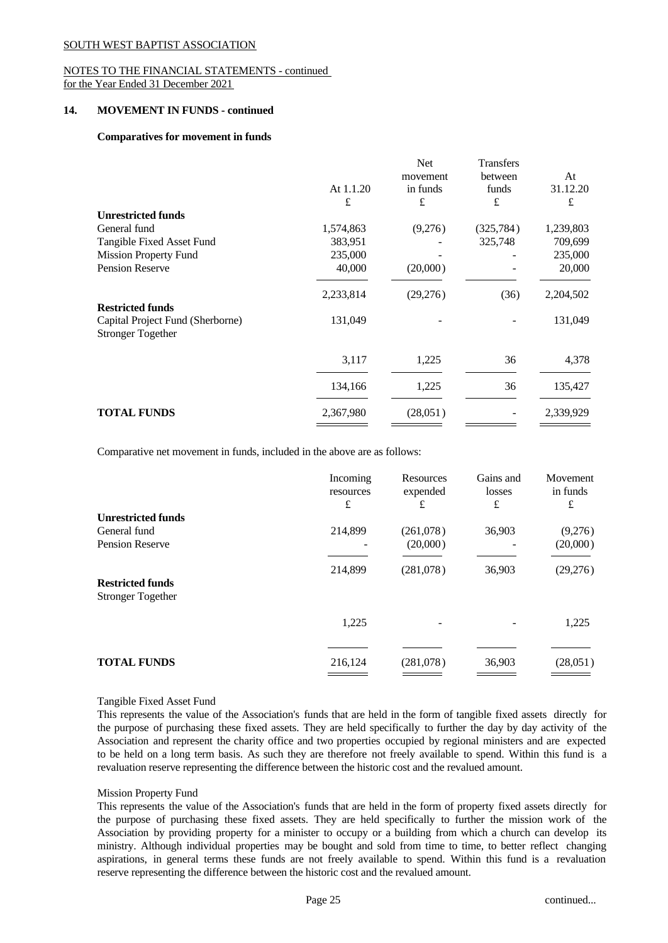### NOTES TO THE FINANCIAL STATEMENTS - continued for the Year Ended 31 December 2021

### **14. MOVEMENT IN FUNDS - continued**

### **Comparatives for movement in funds**

|                                                              | At 1.1.20<br>£ | Net<br>movement<br>in funds<br>£ | Transfers<br>between<br>funds<br>£ | At<br>31.12.20<br>£ |
|--------------------------------------------------------------|----------------|----------------------------------|------------------------------------|---------------------|
| <b>Unrestricted funds</b>                                    |                |                                  |                                    |                     |
| General fund                                                 | 1,574,863      | (9,276)                          | (325, 784)                         | 1,239,803           |
| Tangible Fixed Asset Fund                                    | 383,951        |                                  | 325,748                            | 709,699             |
| <b>Mission Property Fund</b>                                 | 235,000        |                                  |                                    | 235,000             |
| <b>Pension Reserve</b>                                       | 40,000         | (20,000)                         |                                    | 20,000              |
|                                                              | 2,233,814      | (29,276)                         | (36)                               | 2,204,502           |
| <b>Restricted funds</b>                                      |                |                                  |                                    |                     |
| Capital Project Fund (Sherborne)<br><b>Stronger Together</b> | 131,049        |                                  |                                    | 131,049             |
|                                                              | 3,117          | 1,225                            | 36                                 | 4,378               |
|                                                              | 134,166        | 1,225                            | 36                                 | 135,427             |
| <b>TOTAL FUNDS</b>                                           | 2,367,980      | (28,051)                         | $\overline{\phantom{a}}$           | 2,339,929           |
|                                                              |                |                                  |                                    |                     |

Comparative net movement in funds, included in the above are as follows:

|                                                     | Incoming<br>resources<br>£ | Resources<br>expended<br>£ | Gains and<br>losses<br>£ | Movement<br>in funds<br>£ |
|-----------------------------------------------------|----------------------------|----------------------------|--------------------------|---------------------------|
| <b>Unrestricted funds</b>                           |                            |                            |                          |                           |
| General fund                                        | 214,899                    | (261,078)                  | 36,903                   | (9,276)                   |
| <b>Pension Reserve</b>                              |                            | (20,000)                   |                          | (20,000)                  |
|                                                     | 214,899                    | (281,078)                  | 36,903                   | (29,276)                  |
| <b>Restricted funds</b><br><b>Stronger Together</b> |                            |                            |                          |                           |
|                                                     | 1,225                      |                            |                          | 1,225                     |
|                                                     |                            |                            |                          |                           |
| <b>TOTAL FUNDS</b>                                  | 216,124                    | (281,078)                  | 36,903                   | (28,051)                  |
|                                                     |                            |                            |                          |                           |

### Tangible Fixed Asset Fund

This represents the value of the Association's funds that are held in the form of tangible fixed assets directly for the purpose of purchasing these fixed assets. They are held specifically to further the day by day activity of the Association and represent the charity office and two properties occupied by regional ministers and are expected to be held on a long term basis.As such they are therefore not freely available to spend. Within this fund is a revaluation reserve representing the difference between the historic cost and the revalued amount.

### Mission Property Fund

This represents the value of the Association's funds that are held in the form of property fixed assets directly for the purpose of purchasing these fixed assets. They are held specifically to further the mission work of the Association by providing property for a minister to occupy or a building from which a church can develop its ministry. Although individual properties may be bought and sold from time to time, to better reflect changing aspirations, in general terms these funds are not freely available to spend. Within this fund is a revaluation reserve representing the difference between the historic cost and the revalued amount.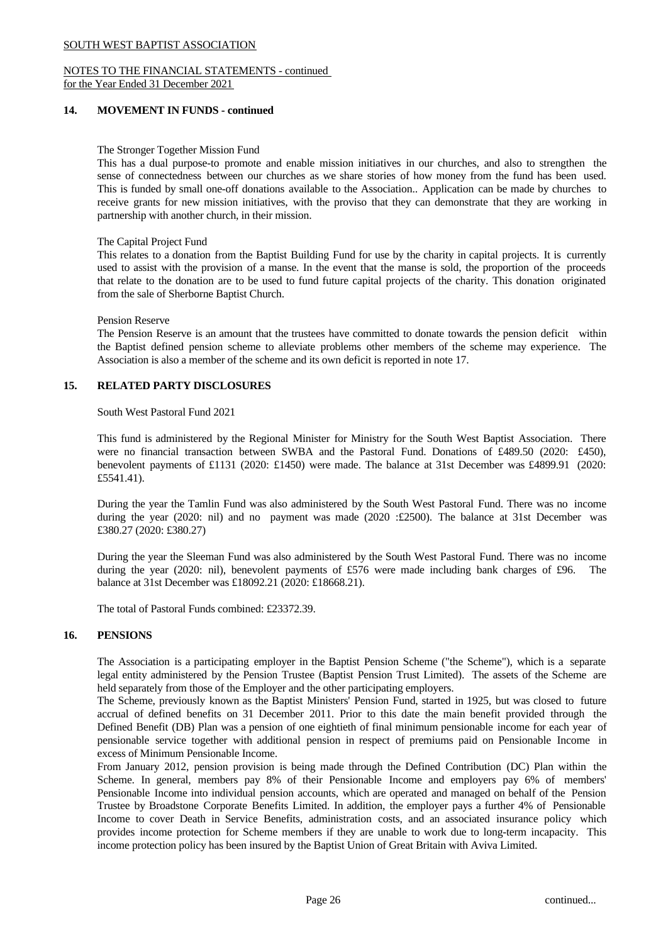#### NOTES TO THE FINANCIAL STATEMENTS - continued for the Year Ended 31 December 2021

# **14. MOVEMENT IN FUNDS - continued**

# The Stronger Together Mission Fund

This has a dual purpose-to promote and enable mission initiatives in our churches, and also to strengthen the sense of connectedness between our churches as we share stories of how money from the fund has been used. This is funded by small one-off donations available to the Association.. Application can be made by churches to receive grants for new mission initiatives, with the proviso that they can demonstrate that they are working in partnership with another church, in their mission.

### The Capital Project Fund

This relates to a donation from the Baptist Building Fund for use by the charity in capital projects. It is currently used to assist with the provision of a manse. In the event that the manse issold, the proportion of the proceeds that relate to the donation are to be used to fund future capital projects of the charity. This donation originated from the sale of Sherborne Baptist Church.

### Pension Reserve

The Pension Reserve is an amount that the trustees have committed to donate towards the pension deficit within the Baptist defined pension scheme to alleviate problems other members of the scheme may experience. The Association is also a member of the scheme and its own deficit is reported in note 17.

# **15. RELATED PARTY DISCLOSURES**

# South West Pastoral Fund 2021

This fund is administered by the Regional Minister for Ministry for the South West Baptist Association. There were no financial transaction between SWBA and the Pastoral Fund. Donations of £489.50 (2020: £450), benevolent payments of £1131 (2020: £1450) were made. The balance at 31st December was £4899.91 (2020: £5541.41).

During the year the Tamlin Fund was also administered by the South West Pastoral Fund. There was no income during the year (2020: nil) and no payment was made (2020 : $£2500$ ). The balance at 31st December was £380.27 (2020: £380.27)

During the year the Sleeman Fund was also administered by the South West Pastoral Fund. There was no income during the year (2020: nil), benevolent payments of £576 were made including bank charges of £96. The balance at 31st December was £18092.21 (2020: £18668.21).

The total of Pastoral Funds combined: £23372.39.

# **16. PENSIONS**

The Association is a participating employer in the Baptist Pension Scheme ("the Scheme"), which is a separate legal entity administered by the Pension Trustee (Baptist Pension Trust Limited). The assets of the Scheme are held separately from those of the Employer and the other participating employers.

The Scheme, previously known as the Baptist Ministers' Pension Fund, started in 1925, but was closed to future accrual of defined benefits on 31 December 2011. Prior to this date the main benefit provided through the Defined Benefit (DB) Plan was a pension of one eightieth of final minimum pensionable income for each year of pensionable service together with additional pension in respect of premiums paid on Pensionable Income in excess of Minimum Pensionable Income.

From January 2012, pension provision is being made through the Defined Contribution (DC) Plan within the Scheme. In general, members pay 8% of their Pensionable Income and employers pay 6% of members' Pensionable Income into individual pension accounts, which are operated and managed on behalf of the Pension Trustee by Broadstone Corporate Benefits Limited. In addition, the employer pays a further 4% of Pensionable Income to cover Death in Service Benefits, administration costs, and an associated insurance policy which provides income protection for Scheme members if they are unable to work due to long-term incapacity. This income protection policy has been insured by the Baptist Union of Great Britain with Aviva Limited.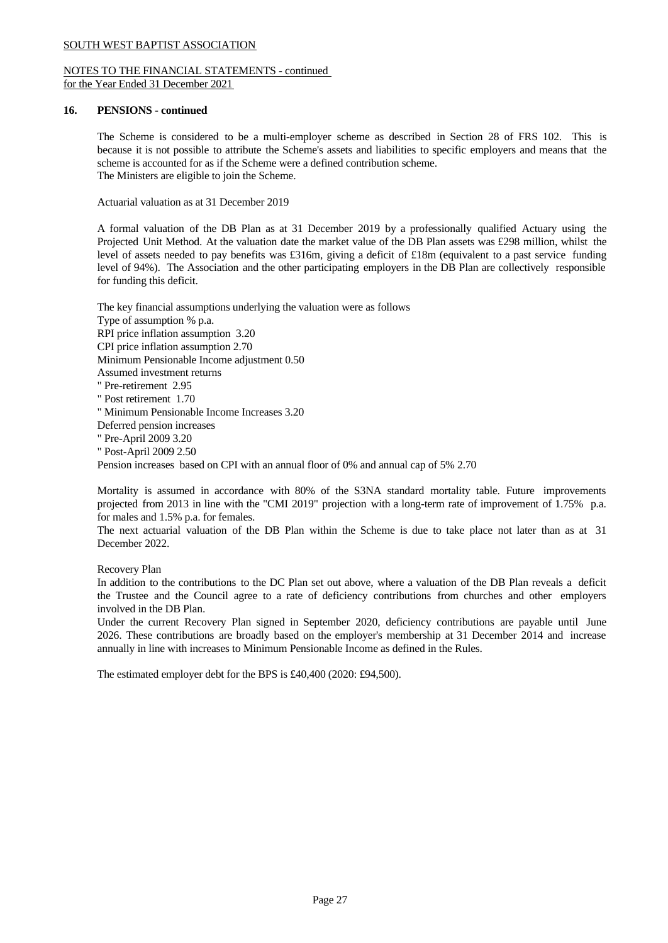# NOTES TO THE FINANCIAL STATEMENTS - continued for the Year Ended 31 December 2021

# **16. PENSIONS - continued**

The Scheme is considered to be a multi-employer scheme as described in Section 28 of FRS 102. This is because it is not possible to attribute the Scheme's assets and liabilities to specific employers and means that the scheme is accounted for as if the Scheme were a defined contribution scheme. The Ministers are eligible to join the Scheme.

Actuarial valuation as at 31 December 2019

A formal valuation of the DB Plan as at 31 December 2019 by a professionally qualified Actuary using the Projected Unit Method. At the valuation date the market value of the DB Plan assets was £298 million, whilst the level of assets needed to pay benefits was £316m, giving a deficit of £18m (equivalent to a past service funding level of 94%). The Association and the other participating employers in the DB Plan are collectively responsible for funding this deficit.

The key financial assumptions underlying the valuation were as follows Type of assumption % p.a. RPI price inflation assumption 3.20 CPI price inflation assumption 2.70 Minimum Pensionable Income adjustment 0.50 Assumed investment returns " Pre-retirement 2.95 " Post retirement 1.70 " Minimum Pensionable Income Increases 3.20 Deferred pension increases " Pre-April 2009 3.20 " Post-April 2009 2.50 Pension increases based on CPI with an annual floor of 0% and annual cap of 5% 2.70

Mortality is assumed in accordance with 80% of the S3NA standard mortality table. Future improvements projected from 2013 in line with the "CMI 2019" projection with a long-term rate of improvement of 1.75% p.a. for males and 1.5% p.a. for females.

The next actuarial valuation of the DB Plan within the Scheme is due to take place not later than as at 31 December 2022.

# Recovery Plan

In addition to the contributions to the DC Plan set out above, where a valuation of the DB Plan reveals a deficit the Trustee and the Council agree to a rate of deficiency contributions from churches and other employers involved in the DB Plan.

Under the current Recovery Plan signed in September 2020, deficiency contributions are payable until June 2026. These contributions are broadly based on the employer's membership at 31 December 2014 and increase annually in line with increases to Minimum Pensionable Income as defined in the Rules.

The estimated employer debt for the BPS is £40,400 (2020: £94,500).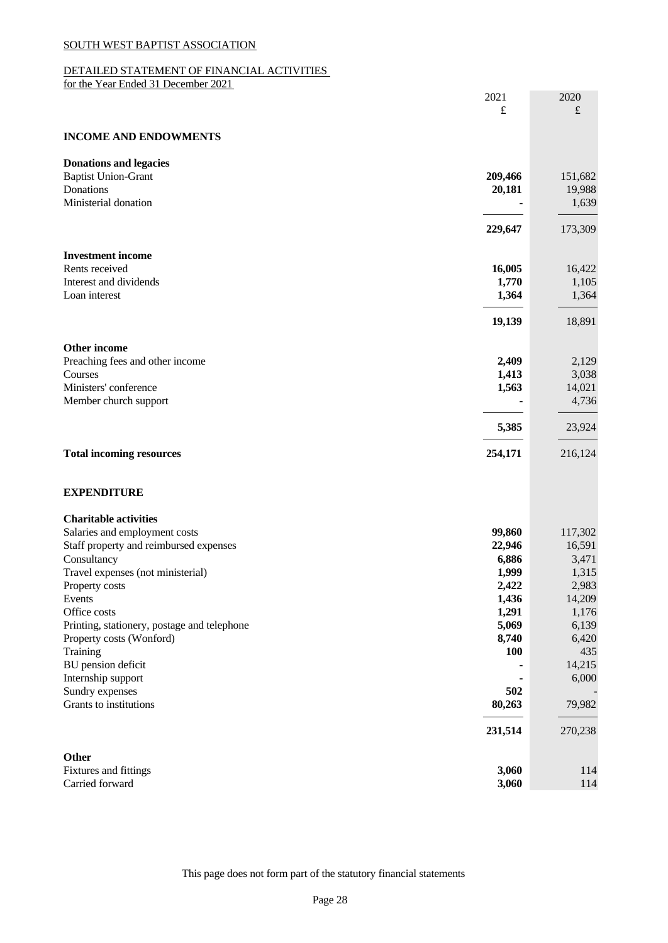# DETAILED STATEMENT OF FINANCIAL ACTIVITIES

for the Year Ended 31 December 2021

| 2021<br>£                                                              | 2020<br>$\pounds$ |
|------------------------------------------------------------------------|-------------------|
| <b>INCOME AND ENDOWMENTS</b>                                           |                   |
|                                                                        |                   |
| <b>Donations and legacies</b><br><b>Baptist Union-Grant</b><br>209,466 | 151,682           |
| Donations<br>20,181                                                    | 19,988            |
| Ministerial donation                                                   | 1,639             |
|                                                                        |                   |
| 229,647                                                                | 173,309           |
| <b>Investment income</b>                                               |                   |
| 16,005<br>Rents received                                               | 16,422            |
| Interest and dividends<br>1,770                                        | 1,105             |
| 1,364<br>Loan interest                                                 | 1,364             |
| 19,139                                                                 | 18,891            |
|                                                                        |                   |
| Other income                                                           |                   |
| Preaching fees and other income<br>2,409<br>Courses                    | 2,129             |
| 1,413<br>Ministers' conference<br>1,563                                | 3,038<br>14,021   |
| Member church support                                                  | 4,736             |
|                                                                        |                   |
| 5,385                                                                  | 23,924            |
| 254,171<br><b>Total incoming resources</b>                             | 216,124           |
|                                                                        |                   |
| <b>EXPENDITURE</b>                                                     |                   |
| <b>Charitable activities</b>                                           |                   |
| Salaries and employment costs<br>99,860                                | 117,302           |
| 22,946<br>Staff property and reimbursed expenses                       | 16,591            |
| Consultancy<br>6,886                                                   | 3,471             |
| 1,999<br>Travel expenses (not ministerial)                             | 1,315             |
| 2,422<br>Property costs                                                | 2,983             |
| 1,436<br>Events                                                        | 14,209            |
| 1,291<br>Office costs                                                  | 1,176             |
| 5,069<br>Printing, stationery, postage and telephone                   | 6,139             |
| 8,740<br>Property costs (Wonford)                                      | 6,420             |
| Training<br><b>100</b>                                                 | 435               |
| BU pension deficit                                                     | 14,215            |
| Internship support<br>502                                              | 6,000             |
| Sundry expenses<br>Grants to institutions<br>80,263                    | 79,982            |
|                                                                        |                   |
| 231,514                                                                | 270,238           |
| Other                                                                  |                   |

Fixtures and fittings **3,060** 114 Carried forward **3,060** 114

This page does not form part of the statutory financial statements